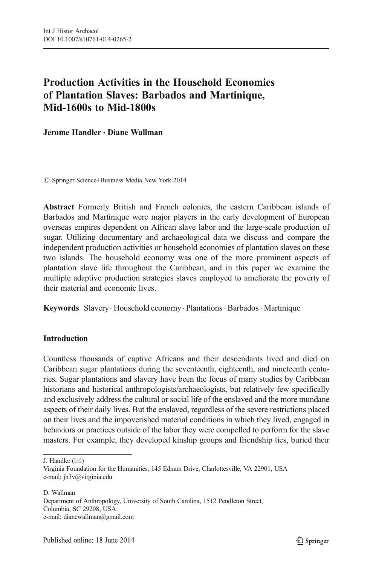# Production Activities in the Household Economies of Plantation Slaves: Barbados and Martinique, Mid-1600s to Mid-1800s

Jerome Handler & Diane Wallman

 $\oslash$  Springer Science+Business Media New York 2014

Abstract Formerly British and French colonies, the eastern Caribbean islands of Barbados and Martinique were major players in the early development of European overseas empires dependent on African slave labor and the large-scale production of sugar. Utilizing documentary and archaeological data we discuss and compare the independent production activities or household economies of plantation slaves on these two islands. The household economy was one of the more prominent aspects of plantation slave life throughout the Caribbean, and in this paper we examine the multiple adaptive production strategies slaves employed to ameliorate the poverty of their material and economic lives.

Keywords Slavery. Household economy. Plantations. Barbados. Martinique

## Introduction

Countless thousands of captive Africans and their descendants lived and died on Caribbean sugar plantations during the seventeenth, eighteenth, and nineteenth centuries. Sugar plantations and slavery have been the focus of many studies by Caribbean historians and historical anthropologists/archaeologists, but relatively few specifically and exclusively address the cultural or social life of the enslaved and the more mundane aspects of their daily lives. But the enslaved, regardless of the severe restrictions placed on their lives and the impoverished material conditions in which they lived, engaged in behaviors or practices outside of the labor they were compelled to perform for the slave masters. For example, they developed kinship groups and friendship ties, buried their

J. Handler  $(\boxtimes)$ 

D. Wallman Department of Anthropology, University of South Carolina, 1512 Pendleton Street, Columbia, SC 29208, USA e-mail: dianewallman@gmail.com

Virginia Foundation for the Humanities, 145 Ednam Drive, Charlottesville, VA 22901, USA e-mail: jh3v@virginia.edu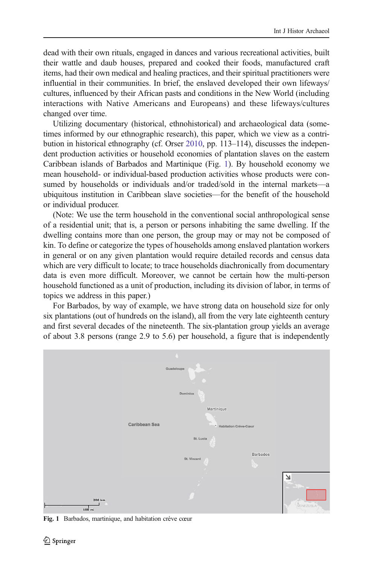<span id="page-1-0"></span>dead with their own rituals, engaged in dances and various recreational activities, built their wattle and daub houses, prepared and cooked their foods, manufactured craft items, had their own medical and healing practices, and their spiritual practitioners were influential in their communities. In brief, the enslaved developed their own lifeways/ cultures, influenced by their African pasts and conditions in the New World (including interactions with Native Americans and Europeans) and these lifeways/cultures changed over time.

Utilizing documentary (historical, ethnohistorical) and archaeological data (sometimes informed by our ethnographic research), this paper, which we view as a contribution in historical ethnography (cf. Orser [2010,](#page-24-0) pp. 113–114), discusses the independent production activities or household economies of plantation slaves on the eastern Caribbean islands of Barbados and Martinique (Fig. 1). By household economy we mean household- or individual-based production activities whose products were consumed by households or individuals and/or traded/sold in the internal markets—a ubiquitous institution in Caribbean slave societies—for the benefit of the household or individual producer.

(Note: We use the term household in the conventional social anthropological sense of a residential unit; that is, a person or persons inhabiting the same dwelling. If the dwelling contains more than one person, the group may or may not be composed of kin. To define or categorize the types of households among enslaved plantation workers in general or on any given plantation would require detailed records and census data which are very difficult to locate; to trace households diachronically from documentary data is even more difficult. Moreover, we cannot be certain how the multi-person household functioned as a unit of production, including its division of labor, in terms of topics we address in this paper.)

For Barbados, by way of example, we have strong data on household size for only six plantations (out of hundreds on the island), all from the very late eighteenth century and first several decades of the nineteenth. The six-plantation group yields an average of about 3.8 persons (range 2.9 to 5.6) per household, a figure that is independently



Fig. 1 Barbados, martinique, and habitation crève cœur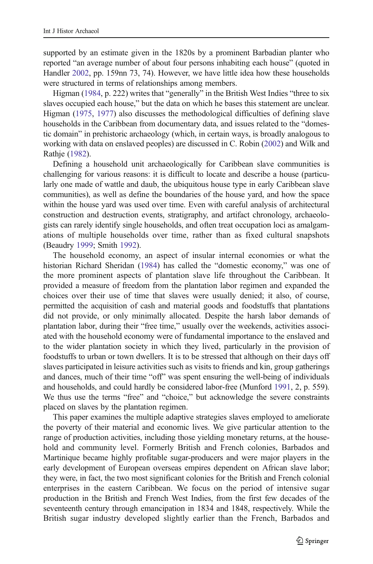supported by an estimate given in the 1820s by a prominent Barbadian planter who reported "an average number of about four persons inhabiting each house" (quoted in Handler [2002,](#page-22-0) pp. 159nn 73, 74). However, we have little idea how these households were structured in terms of relationships among members.

Higman [\(1984,](#page-23-0) p. 222) writes that "generally" in the British West Indies "three to six slaves occupied each house," but the data on which he bases this statement are unclear. Higman ([1975](#page-23-0), [1977\)](#page-23-0) also discusses the methodological difficulties of defining slave households in the Caribbean from documentary data, and issues related to the "domestic domain" in prehistoric archaeology (which, in certain ways, is broadly analogous to working with data on enslaved peoples) are discussed in C. Robin [\(2002\)](#page-25-0) and Wilk and Rathje [\(1982\)](#page-25-0).

Defining a household unit archaeologically for Caribbean slave communities is challenging for various reasons: it is difficult to locate and describe a house (particularly one made of wattle and daub, the ubiquitous house type in early Caribbean slave communities), as well as define the boundaries of the house yard, and how the space within the house yard was used over time. Even with careful analysis of architectural construction and destruction events, stratigraphy, and artifact chronology, archaeologists can rarely identify single households, and often treat occupation loci as amalgamations of multiple households over time, rather than as fixed cultural snapshots (Beaudry [1999;](#page-21-0) Smith [1992\)](#page-25-0).

The household economy, an aspect of insular internal economies or what the historian Richard Sheridan ([1984](#page-25-0)) has called the "domestic economy," was one of the more prominent aspects of plantation slave life throughout the Caribbean. It provided a measure of freedom from the plantation labor regimen and expanded the choices over their use of time that slaves were usually denied; it also, of course, permitted the acquisition of cash and material goods and foodstuffs that plantations did not provide, or only minimally allocated. Despite the harsh labor demands of plantation labor, during their "free time," usually over the weekends, activities associated with the household economy were of fundamental importance to the enslaved and to the wider plantation society in which they lived, particularly in the provision of foodstuffs to urban or town dwellers. It is to be stressed that although on their days off slaves participated in leisure activities such as visits to friends and kin, group gatherings and dances, much of their time "off" was spent ensuring the well-being of individuals and households, and could hardly be considered labor-free (Munford [1991,](#page-24-0) 2, p. 559). We thus use the terms "free" and "choice," but acknowledge the severe constraints placed on slaves by the plantation regimen.

This paper examines the multiple adaptive strategies slaves employed to ameliorate the poverty of their material and economic lives. We give particular attention to the range of production activities, including those yielding monetary returns, at the household and community level. Formerly British and French colonies, Barbados and Martinique became highly profitable sugar-producers and were major players in the early development of European overseas empires dependent on African slave labor; they were, in fact, the two most significant colonies for the British and French colonial enterprises in the eastern Caribbean. We focus on the period of intensive sugar production in the British and French West Indies, from the first few decades of the seventeenth century through emancipation in 1834 and 1848, respectively. While the British sugar industry developed slightly earlier than the French, Barbados and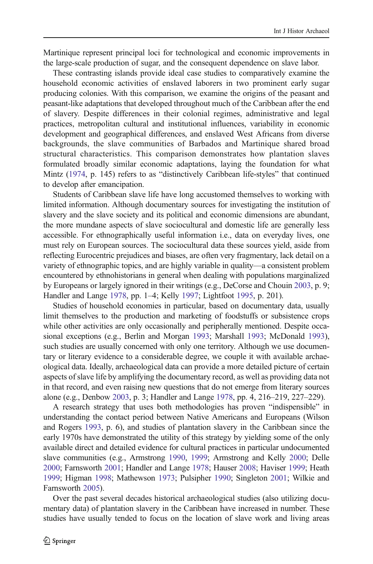Martinique represent principal loci for technological and economic improvements in the large-scale production of sugar, and the consequent dependence on slave labor.

These contrasting islands provide ideal case studies to comparatively examine the household economic activities of enslaved laborers in two prominent early sugar producing colonies. With this comparison, we examine the origins of the peasant and peasant-like adaptations that developed throughout much of the Caribbean after the end of slavery. Despite differences in their colonial regimes, administrative and legal practices, metropolitan cultural and institutional influences, variability in economic development and geographical differences, and enslaved West Africans from diverse backgrounds, the slave communities of Barbados and Martinique shared broad structural characteristics. This comparison demonstrates how plantation slaves formulated broadly similar economic adaptations, laying the foundation for what Mintz [\(1974,](#page-24-0) p. 145) refers to as "distinctively Caribbean life-styles" that continued to develop after emancipation.

Students of Caribbean slave life have long accustomed themselves to working with limited information. Although documentary sources for investigating the institution of slavery and the slave society and its political and economic dimensions are abundant, the more mundane aspects of slave sociocultural and domestic life are generally less accessible. For ethnographically useful information i.e., data on everyday lives, one must rely on European sources. The sociocultural data these sources yield, aside from reflecting Eurocentric prejudices and biases, are often very fragmentary, lack detail on a variety of ethnographic topics, and are highly variable in quality—a consistent problem encountered by ethnohistorians in general when dealing with populations marginalized by Europeans or largely ignored in their writings (e.g., DeCorse and Chouin [2003](#page-22-0), p. 9; Handler and Lange [1978,](#page-23-0) pp. 1–4; Kelly [1997;](#page-23-0) Lightfoot [1995](#page-24-0), p. 201).

Studies of household economies in particular, based on documentary data, usually limit themselves to the production and marketing of foodstuffs or subsistence crops while other activities are only occasionally and peripherally mentioned. Despite occasional exceptions (e.g., Berlin and Morgan [1993;](#page-21-0) Marshall [1993](#page-24-0); McDonald [1993\)](#page-24-0), such studies are usually concerned with only one territory. Although we use documentary or literary evidence to a considerable degree, we couple it with available archaeological data. Ideally, archaeological data can provide a more detailed picture of certain aspects of slave life by amplifying the documentary record, as well as providing data not in that record, and even raising new questions that do not emerge from literary sources alone (e.g., Denbow [2003](#page-22-0), p. 3; Handler and Lange [1978](#page-23-0), pp. 4, 216–219, 227–229).

A research strategy that uses both methodologies has proven "indispensible" in understanding the contact period between Native Americans and Europeans (Wilson and Rogers [1993](#page-25-0), p. 6), and studies of plantation slavery in the Caribbean since the early 1970s have demonstrated the utility of this strategy by yielding some of the only available direct and detailed evidence for cultural practices in particular undocumented slave communities (e.g., Armstrong [1990](#page-20-0), [1999](#page-21-0); Armstrong and Kelly [2000;](#page-21-0) Delle [2000;](#page-22-0) Farnsworth [2001;](#page-22-0) Handler and Lange [1978](#page-23-0); Hauser [2008;](#page-23-0) Haviser [1999;](#page-23-0) Heath [1999;](#page-23-0) Higman [1998](#page-23-0); Mathewson [1973](#page-24-0); Pulsipher [1990;](#page-24-0) Singleton [2001](#page-25-0); Wilkie and Farnsworth [2005\)](#page-25-0).

Over the past several decades historical archaeological studies (also utilizing documentary data) of plantation slavery in the Caribbean have increased in number. These studies have usually tended to focus on the location of slave work and living areas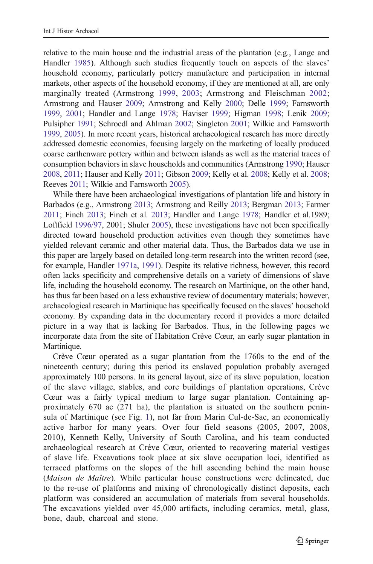relative to the main house and the industrial areas of the plantation (e.g., Lange and Handler [1985](#page-24-0)). Although such studies frequently touch on aspects of the slaves' household economy, particularly pottery manufacture and participation in internal markets, other aspects of the household economy, if they are mentioned at all, are only marginally treated (Armstrong [1999](#page-21-0), [2003;](#page-21-0) Armstrong and Fleischman [2002;](#page-21-0) Armstrong and Hauser [2009](#page-21-0); Armstrong and Kelly [2000](#page-21-0); Delle [1999](#page-22-0); Farnsworth [1999,](#page-22-0) [2001](#page-22-0); Handler and Lange [1978](#page-23-0); Haviser [1999;](#page-23-0) Higman [1998;](#page-23-0) Lenik [2009;](#page-24-0) Pulsipher [1991](#page-25-0); Schroedl and Ahlman [2002;](#page-25-0) Singleton [2001;](#page-25-0) Wilkie and Farnsworth [1999,](#page-25-0) [2005](#page-25-0)). In more recent years, historical archaeological research has more directly addressed domestic economies, focusing largely on the marketing of locally produced coarse earthenware pottery within and between islands as well as the material traces of consumption behaviors in slave households and communities (Armstrong [1990](#page-20-0); Hauser [2008,](#page-23-0) [2011;](#page-23-0) Hauser and Kelly [2011;](#page-23-0) Gibson [2009](#page-22-0); Kelly et al. [2008](#page-23-0); Kelly et al. [2008;](#page-23-0) Reeves [2011](#page-25-0); Wilkie and Farnsworth [2005](#page-25-0)).

While there have been archaeological investigations of plantation life and history in Barbados (e.g., Armstrong [2013;](#page-21-0) Armstrong and Reilly [2013](#page-21-0); Bergman [2013;](#page-21-0) Farmer [2011](#page-22-0); Finch [2013](#page-22-0); Finch et al. [2013;](#page-22-0) Handler and Lange [1978;](#page-23-0) Handler et al.1989; Loftfield [1996/97](#page-24-0), 2001; Shuler [2005](#page-25-0)), these investigations have not been specifically directed toward household production activities even though they sometimes have yielded relevant ceramic and other material data. Thus, the Barbados data we use in this paper are largely based on detailed long-term research into the written record (see, for example, Handler [1971a](#page-22-0), [1991](#page-22-0)). Despite its relative richness, however, this record often lacks specificity and comprehensive details on a variety of dimensions of slave life, including the household economy. The research on Martinique, on the other hand, has thus far been based on a less exhaustive review of documentary materials; however, archaeological research in Martinique has specifically focused on the slaves' household economy. By expanding data in the documentary record it provides a more detailed picture in a way that is lacking for Barbados. Thus, in the following pages we incorporate data from the site of Habitation Crève Cœur, an early sugar plantation in Martinique.

Crève Cœur operated as a sugar plantation from the 1760s to the end of the nineteenth century; during this period its enslaved population probably averaged approximately 100 persons. In its general layout, size of its slave population, location of the slave village, stables, and core buildings of plantation operations, Crève Cœur was a fairly typical medium to large sugar plantation. Containing approximately 670 ac (271 ha), the plantation is situated on the southern peninsula of Martinique (see Fig. [1](#page-1-0)), not far from Marin Cul-de-Sac, an economically active harbor for many years. Over four field seasons (2005, 2007, 2008, 2010), Kenneth Kelly, University of South Carolina, and his team conducted archaeological research at Crève Cœur, oriented to recovering material vestiges of slave life. Excavations took place at six slave occupation loci, identified as terraced platforms on the slopes of the hill ascending behind the main house (Maison de Maître). While particular house constructions were delineated, due to the re-use of platforms and mixing of chronologically distinct deposits, each platform was considered an accumulation of materials from several households. The excavations yielded over 45,000 artifacts, including ceramics, metal, glass, bone, daub, charcoal and stone.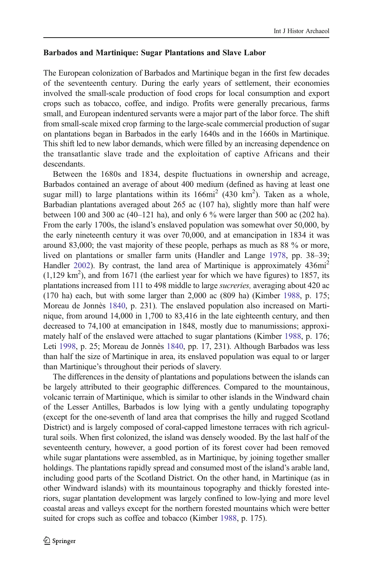#### Barbados and Martinique: Sugar Plantations and Slave Labor

The European colonization of Barbados and Martinique began in the first few decades of the seventeenth century. During the early years of settlement, their economies involved the small-scale production of food crops for local consumption and export crops such as tobacco, coffee, and indigo. Profits were generally precarious, farms small, and European indentured servants were a major part of the labor force. The shift from small-scale mixed crop farming to the large-scale commercial production of sugar on plantations began in Barbados in the early 1640s and in the 1660s in Martinique. This shift led to new labor demands, which were filled by an increasing dependence on the transatlantic slave trade and the exploitation of captive Africans and their descendants.

Between the 1680s and 1834, despite fluctuations in ownership and acreage, Barbados contained an average of about 400 medium (defined as having at least one sugar mill) to large plantations within its  $166mi^2$  (430 km<sup>2</sup>). Taken as a whole, Barbadian plantations averaged about 265 ac (107 ha), slightly more than half were between 100 and 300 ac  $(40-121$  ha), and only 6 % were larger than 500 ac  $(202$  ha). From the early 1700s, the island's enslaved population was somewhat over 50,000, by the early nineteenth century it was over 70,000, and at emancipation in 1834 it was around 83,000; the vast majority of these people, perhaps as much as 88 % or more, lived on plantations or smaller farm units (Handler and Lange [1978,](#page-23-0) pp. 38–39; Handler [2002](#page-22-0)). By contrast, the land area of Martinique is approximately 436mi<sup>2</sup>  $(1,129 \text{ km}^2)$ , and from 1671 (the earliest year for which we have figures) to 1857, its plantations increased from 111 to 498 middle to large sucreries, averaging about 420 ac (170 ha) each, but with some larger than 2,000 ac (809 ha) (Kimber [1988](#page-23-0), p. 175; Moreau de Jonnès [1840,](#page-24-0) p. 231). The enslaved population also increased on Martinique, from around 14,000 in 1,700 to 83,416 in the late eighteenth century, and then decreased to 74,100 at emancipation in 1848, mostly due to manumissions; approximately half of the enslaved were attached to sugar plantations (Kimber [1988,](#page-23-0) p. 176; Leti [1998](#page-24-0), p. 25; Moreau de Jonnès [1840,](#page-24-0) pp. 17, 231). Although Barbados was less than half the size of Martinique in area, its enslaved population was equal to or larger than Martinique's throughout their periods of slavery.

The differences in the density of plantations and populations between the islands can be largely attributed to their geographic differences. Compared to the mountainous, volcanic terrain of Martinique, which is similar to other islands in the Windward chain of the Lesser Antilles, Barbados is low lying with a gently undulating topography (except for the one-seventh of land area that comprises the hilly and rugged Scotland District) and is largely composed of coral-capped limestone terraces with rich agricultural soils. When first colonized, the island was densely wooded. By the last half of the seventeenth century, however, a good portion of its forest cover had been removed while sugar plantations were assembled, as in Martinique, by joining together smaller holdings. The plantations rapidly spread and consumed most of the island's arable land, including good parts of the Scotland District. On the other hand, in Martinique (as in other Windward islands) with its mountainous topography and thickly forested interiors, sugar plantation development was largely confined to low-lying and more level coastal areas and valleys except for the northern forested mountains which were better suited for crops such as coffee and tobacco (Kimber [1988](#page-23-0), p. 175).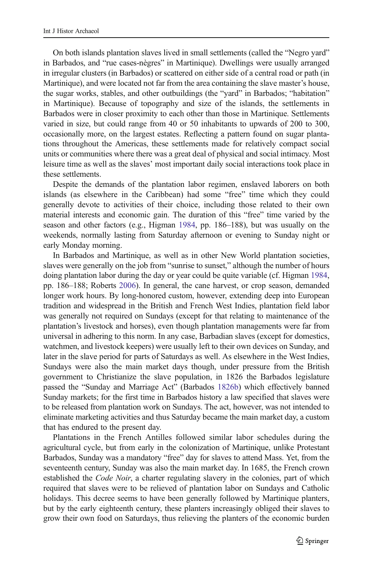On both islands plantation slaves lived in small settlements (called the "Negro yard" in Barbados, and "rue cases-nègres" in Martinique). Dwellings were usually arranged in irregular clusters (in Barbados) or scattered on either side of a central road or path (in Martinique), and were located not far from the area containing the slave master's house, the sugar works, stables, and other outbuildings (the "yard" in Barbados; "habitation" in Martinique). Because of topography and size of the islands, the settlements in Barbados were in closer proximity to each other than those in Martinique. Settlements varied in size, but could range from 40 or 50 inhabitants to upwards of 200 to 300, occasionally more, on the largest estates. Reflecting a pattern found on sugar plantations throughout the Americas, these settlements made for relatively compact social units or communities where there was a great deal of physical and social intimacy. Most leisure time as well as the slaves' most important daily social interactions took place in these settlements.

Despite the demands of the plantation labor regimen, enslaved laborers on both islands (as elsewhere in the Caribbean) had some "free" time which they could generally devote to activities of their choice, including those related to their own material interests and economic gain. The duration of this "free" time varied by the season and other factors (e.g., Higman [1984](#page-23-0), pp. 186–188), but was usually on the weekends, normally lasting from Saturday afternoon or evening to Sunday night or early Monday morning.

In Barbados and Martinique, as well as in other New World plantation societies, slaves were generally on the job from "sunrise to sunset," although the number of hours doing plantation labor during the day or year could be quite variable (cf. Higman [1984,](#page-23-0) pp. 186–188; Roberts [2006](#page-25-0)). In general, the cane harvest, or crop season, demanded longer work hours. By long-honored custom, however, extending deep into European tradition and widespread in the British and French West Indies, plantation field labor was generally not required on Sundays (except for that relating to maintenance of the plantation's livestock and horses), even though plantation managements were far from universal in adhering to this norm. In any case, Barbadian slaves (except for domestics, watchmen, and livestock keepers) were usually left to their own devices on Sunday, and later in the slave period for parts of Saturdays as well. As elsewhere in the West Indies, Sundays were also the main market days though, under pressure from the British government to Christianize the slave population, in 1826 the Barbados legislature passed the "Sunday and Marriage Act" (Barbados [1826b\)](#page-21-0) which effectively banned Sunday markets; for the first time in Barbados history a law specified that slaves were to be released from plantation work on Sundays. The act, however, was not intended to eliminate marketing activities and thus Saturday became the main market day, a custom that has endured to the present day.

Plantations in the French Antilles followed similar labor schedules during the agricultural cycle, but from early in the colonization of Martinique, unlike Protestant Barbados, Sunday was a mandatory "free" day for slaves to attend Mass. Yet, from the seventeenth century, Sunday was also the main market day. In 1685, the French crown established the Code Noir, a charter regulating slavery in the colonies, part of which required that slaves were to be relieved of plantation labor on Sundays and Catholic holidays. This decree seems to have been generally followed by Martinique planters, but by the early eighteenth century, these planters increasingly obliged their slaves to grow their own food on Saturdays, thus relieving the planters of the economic burden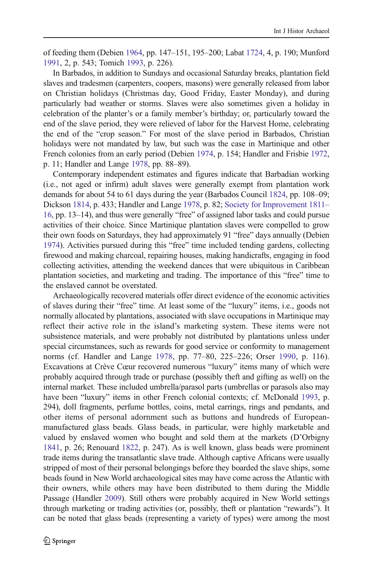of feeding them (Debien [1964,](#page-21-0) pp. 147–151, 195–200; Labat [1724,](#page-23-0) 4, p. 190; Munford [1991,](#page-24-0) 2, p. 543; Tomich [1993,](#page-25-0) p. 226).

In Barbados, in addition to Sundays and occasional Saturday breaks, plantation field slaves and tradesmen (carpenters, coopers, masons) were generally released from labor on Christian holidays (Christmas day, Good Friday, Easter Monday), and during particularly bad weather or storms. Slaves were also sometimes given a holiday in celebration of the planter's or a family member's birthday; or, particularly toward the end of the slave period, they were relieved of labor for the Harvest Home, celebrating the end of the "crop season." For most of the slave period in Barbados, Christian holidays were not mandated by law, but such was the case in Martinique and other French colonies from an early period (Debien [1974](#page-22-0), p. 154; Handler and Frisbie [1972,](#page-23-0) p. 11; Handler and Lange [1978](#page-23-0), pp. 88–89).

Contemporary independent estimates and figures indicate that Barbadian working (i.e., not aged or infirm) adult slaves were generally exempt from plantation work demands for about 54 to 61 days during the year (Barbados Council [1824,](#page-21-0) pp. 108–09; Dickson [1814](#page-22-0), p. 433; Handler and Lange [1978,](#page-23-0) p. 82; [Society for Improvement 1811](#page-25-0)– [16,](#page-25-0) pp. 13–14), and thus were generally "free" of assigned labor tasks and could pursue activities of their choice. Since Martinique plantation slaves were compelled to grow their own foods on Saturdays, they had approximately 91 "free" days annually (Debien [1974\)](#page-22-0). Activities pursued during this "free" time included tending gardens, collecting firewood and making charcoal, repairing houses, making handicrafts, engaging in food collecting activities, attending the weekend dances that were ubiquitous in Caribbean plantation societies, and marketing and trading. The importance of this "free" time to the enslaved cannot be overstated.

Archaeologically recovered materials offer direct evidence of the economic activities of slaves during their "free" time. At least some of the "luxury" items, i.e., goods not normally allocated by plantations, associated with slave occupations in Martinique may reflect their active role in the island's marketing system. These items were not subsistence materials, and were probably not distributed by plantations unless under special circumstances, such as rewards for good service or conformity to management norms (cf. Handler and Lange [1978](#page-23-0), pp. 77–80, 225–226; Orser [1990,](#page-24-0) p. 116). Excavations at Crève Cœur recovered numerous "luxury" items many of which were probably acquired through trade or purchase (possibly theft and gifting as well) on the internal market. These included umbrella/parasol parts (umbrellas or parasols also may have been "luxury" items in other French colonial contexts; cf. McDonald [1993,](#page-24-0) p. 294), doll fragments, perfume bottles, coins, metal earrings, rings and pendants, and other items of personal adornment such as buttons and hundreds of Europeanmanufactured glass beads. Glass beads, in particular, were highly marketable and valued by enslaved women who bought and sold them at the markets (D'Orbigny [1841,](#page-21-0) p. 26; Renouard [1822](#page-25-0), p. 247). As is well known, glass beads were prominent trade items during the transatlantic slave trade. Although captive Africans were usually stripped of most of their personal belongings before they boarded the slave ships, some beads found in New World archaeological sites may have come across the Atlantic with their owners, while others may have been distributed to them during the Middle Passage (Handler [2009](#page-22-0)). Still others were probably acquired in New World settings through marketing or trading activities (or, possibly, theft or plantation "rewards"). It can be noted that glass beads (representing a variety of types) were among the most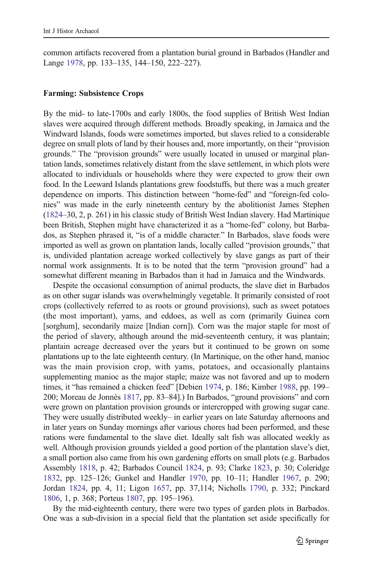common artifacts recovered from a plantation burial ground in Barbados (Handler and Lange [1978,](#page-23-0) pp. 133–135, 144–150, 222–227).

#### Farming: Subsistence Crops

By the mid- to late-1700s and early 1800s, the food supplies of British West Indian slaves were acquired through different methods. Broadly speaking, in Jamaica and the Windward Islands, foods were sometimes imported, but slaves relied to a considerable degree on small plots of land by their houses and, more importantly, on their "provision grounds." The "provision grounds" were usually located in unused or marginal plantation lands, sometimes relatively distant from the slave settlement, in which plots were allocated to individuals or households where they were expected to grow their own food. In the Leeward Islands plantations grew foodstuffs, but there was a much greater dependence on imports. This distinction between "home-fed" and "foreign-fed colonies" was made in the early nineteenth century by the abolitionist James Stephen [\(1824](#page-25-0)–30, 2, p. 261) in his classic study of British West Indian slavery. Had Martinique been British, Stephen might have characterized it as a "home-fed" colony, but Barbados, as Stephen phrased it, "is of a middle character." In Barbados, slave foods were imported as well as grown on plantation lands, locally called "provision grounds," that is, undivided plantation acreage worked collectively by slave gangs as part of their normal work assignments. It is to be noted that the term "provision ground" had a somewhat different meaning in Barbados than it had in Jamaica and the Windwards.

Despite the occasional consumption of animal products, the slave diet in Barbados as on other sugar islands was overwhelmingly vegetable. It primarily consisted of root crops (collectively referred to as roots or ground provisions), such as sweet potatoes (the most important), yams, and eddoes, as well as corn (primarily Guinea corn [sorghum], secondarily maize [Indian corn]). Corn was the major staple for most of the period of slavery, although around the mid-seventeenth century, it was plantain; plantain acreage decreased over the years but it continued to be grown on some plantations up to the late eighteenth century. (In Martinique, on the other hand, manioc was the main provision crop, with yams, potatoes, and occasionally plantains supplementing manioc as the major staple; maize was not favored and up to modern times, it "has remained a chicken feed" [Debien [1974](#page-22-0), p. 186; Kimber [1988](#page-23-0), pp. 199– 200; Moreau de Jonnès [1817](#page-24-0), pp. 83–84].) In Barbados, "ground provisions" and corn were grown on plantation provision grounds or intercropped with growing sugar cane. They were usually distributed weekly– in earlier years on late Saturday afternoons and in later years on Sunday mornings after various chores had been performed, and these rations were fundamental to the slave diet. Ideally salt fish was allocated weekly as well. Although provision grounds yielded a good portion of the plantation slave's diet, a small portion also came from his own gardening efforts on small plots (e.g. Barbados Assembly [1818,](#page-21-0) p. 42; Barbados Council [1824,](#page-21-0) p. 93; Clarke [1823](#page-21-0), p. 30; Coleridge [1832,](#page-21-0) pp. 125–126; Gunkel and Handler [1970](#page-22-0), pp. 10–11; Handler [1967](#page-22-0), p. 290; Jordan [1824,](#page-23-0) pp. 4, 11; Ligon [1657,](#page-24-0) pp. 37,114; Nicholls [1790,](#page-24-0) p. 332; Pinckard [1806,](#page-24-0) 1, p. 368; Porteus [1807](#page-24-0), pp. 195–196).

By the mid-eighteenth century, there were two types of garden plots in Barbados. One was a sub-division in a special field that the plantation set aside specifically for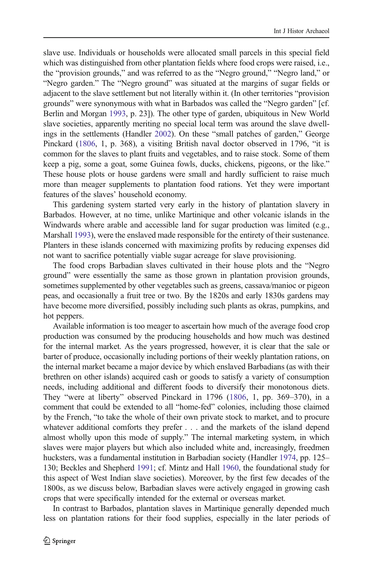slave use. Individuals or households were allocated small parcels in this special field which was distinguished from other plantation fields where food crops were raised, i.e., the "provision grounds," and was referred to as the "Negro ground," "Negro land," or "Negro garden." The "Negro ground" was situated at the margins of sugar fields or adjacent to the slave settlement but not literally within it. (In other territories "provision grounds" were synonymous with what in Barbados was called the "Negro garden" [cf. Berlin and Morgan [1993](#page-21-0), p. 23]). The other type of garden, ubiquitous in New World slave societies, apparently meriting no special local term was around the slave dwellings in the settlements (Handler [2002\)](#page-22-0). On these "small patches of garden," George Pinckard ([1806](#page-24-0), 1, p. 368), a visiting British naval doctor observed in 1796, "it is common for the slaves to plant fruits and vegetables, and to raise stock. Some of them keep a pig, some a goat, some Guinea fowls, ducks, chickens, pigeons, or the like." These house plots or house gardens were small and hardly sufficient to raise much more than meager supplements to plantation food rations. Yet they were important features of the slaves' household economy.

This gardening system started very early in the history of plantation slavery in Barbados. However, at no time, unlike Martinique and other volcanic islands in the Windwards where arable and accessible land for sugar production was limited (e.g., Marshall [1993](#page-24-0)), were the enslaved made responsible for the entirety of their sustenance. Planters in these islands concerned with maximizing profits by reducing expenses did not want to sacrifice potentially viable sugar acreage for slave provisioning.

The food crops Barbadian slaves cultivated in their house plots and the "Negro ground" were essentially the same as those grown in plantation provision grounds, sometimes supplemented by other vegetables such as greens, cassava/manioc or pigeon peas, and occasionally a fruit tree or two. By the 1820s and early 1830s gardens may have become more diversified, possibly including such plants as okras, pumpkins, and hot peppers.

Available information is too meager to ascertain how much of the average food crop production was consumed by the producing households and how much was destined for the internal market. As the years progressed, however, it is clear that the sale or barter of produce, occasionally including portions of their weekly plantation rations, on the internal market became a major device by which enslaved Barbadians (as with their brethren on other islands) acquired cash or goods to satisfy a variety of consumption needs, including additional and different foods to diversify their monotonous diets. They "were at liberty" observed Pinckard in 1796 [\(1806](#page-24-0), 1, pp. 369–370), in a comment that could be extended to all "home-fed" colonies, including those claimed by the French, "to take the whole of their own private stock to market, and to procure whatever additional comforts they prefer . . . and the markets of the island depend almost wholly upon this mode of supply." The internal marketing system, in which slaves were major players but which also included white and, increasingly, freedmen hucksters, was a fundamental institution in Barbadian society (Handler [1974,](#page-22-0) pp. 125– 130; Beckles and Shepherd [1991;](#page-21-0) cf. Mintz and Hall [1960](#page-24-0), the foundational study for this aspect of West Indian slave societies). Moreover, by the first few decades of the 1800s, as we discuss below, Barbadian slaves were actively engaged in growing cash crops that were specifically intended for the external or overseas market.

In contrast to Barbados, plantation slaves in Martinique generally depended much less on plantation rations for their food supplies, especially in the later periods of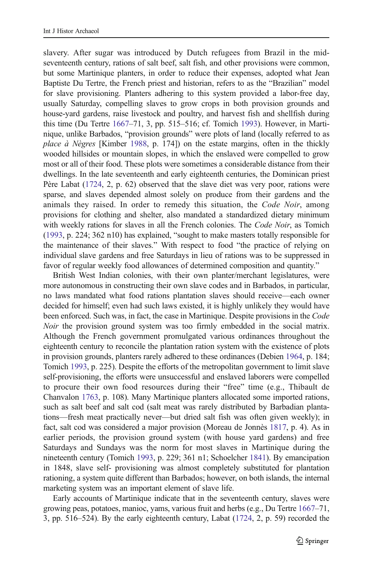slavery. After sugar was introduced by Dutch refugees from Brazil in the midseventeenth century, rations of salt beef, salt fish, and other provisions were common, but some Martinique planters, in order to reduce their expenses, adopted what Jean Baptiste Du Tertre, the French priest and historian, refers to as the "Brazilian" model for slave provisioning. Planters adhering to this system provided a labor-free day, usually Saturday, compelling slaves to grow crops in both provision grounds and house-yard gardens, raise livestock and poultry, and harvest fish and shellfish during this time (Du Tertre [1667](#page-22-0)–71, 3, pp. 515–516; cf. Tomich [1993\)](#page-25-0). However, in Martinique, unlike Barbados, "provision grounds" were plots of land (locally referred to as place à Nègres [Kimber [1988](#page-23-0), p. 174]) on the estate margins, often in the thickly wooded hillsides or mountain slopes, in which the enslaved were compelled to grow most or all of their food. These plots were sometimes a considerable distance from their dwellings. In the late seventeenth and early eighteenth centuries, the Dominican priest Père Labat [\(1724,](#page-23-0) 2, p. 62) observed that the slave diet was very poor, rations were sparse, and slaves depended almost solely on produce from their gardens and the animals they raised. In order to remedy this situation, the Code Noir, among provisions for clothing and shelter, also mandated a standardized dietary minimum with weekly rations for slaves in all the French colonies. The *Code Noir*, as Tomich [\(1993,](#page-25-0) p. 224; 362 n10) has explained, "sought to make masters totally responsible for the maintenance of their slaves." With respect to food "the practice of relying on individual slave gardens and free Saturdays in lieu of rations was to be suppressed in favor of regular weekly food allowances of determined composition and quantity."

British West Indian colonies, with their own planter/merchant legislatures, were more autonomous in constructing their own slave codes and in Barbados, in particular, no laws mandated what food rations plantation slaves should receive—each owner decided for himself; even had such laws existed, it is highly unlikely they would have been enforced. Such was, in fact, the case in Martinique. Despite provisions in the Code Noir the provision ground system was too firmly embedded in the social matrix. Although the French government promulgated various ordinances throughout the eighteenth century to reconcile the plantation ration system with the existence of plots in provision grounds, planters rarely adhered to these ordinances (Debien [1964](#page-21-0), p. 184; Tomich [1993,](#page-25-0) p. 225). Despite the efforts of the metropolitan government to limit slave self-provisioning, the efforts were unsuccessful and enslaved laborers were compelled to procure their own food resources during their "free" time (e.g., Thibault de Chanvalon [1763,](#page-25-0) p. 108). Many Martinique planters allocated some imported rations, such as salt beef and salt cod (salt meat was rarely distributed by Barbadian plantations—fresh meat practically never—but dried salt fish was often given weekly); in fact, salt cod was considered a major provision (Moreau de Jonnès [1817](#page-24-0), p. 4). As in earlier periods, the provision ground system (with house yard gardens) and free Saturdays and Sundays was the norm for most slaves in Martinique during the nineteenth century (Tomich [1993,](#page-25-0) p. 229; 361 n1; Schoelcher [1841\)](#page-25-0). By emancipation in 1848, slave self- provisioning was almost completely substituted for plantation rationing, a system quite different than Barbados; however, on both islands, the internal marketing system was an important element of slave life.

Early accounts of Martinique indicate that in the seventeenth century, slaves were growing peas, potatoes, manioc, yams, various fruit and herbs (e.g., Du Tertre [1667](#page-22-0)–71, 3, pp. 516–524). By the early eighteenth century, Labat [\(1724,](#page-23-0) 2, p. 59) recorded the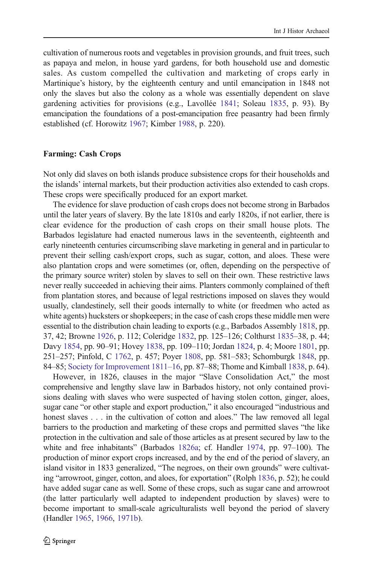cultivation of numerous roots and vegetables in provision grounds, and fruit trees, such as papaya and melon, in house yard gardens, for both household use and domestic sales. As custom compelled the cultivation and marketing of crops early in Martinique's history, by the eighteenth century and until emancipation in 1848 not only the slaves but also the colony as a whole was essentially dependent on slave gardening activities for provisions (e.g., Lavollée [1841](#page-24-0); Soleau [1835,](#page-25-0) p. 93). By emancipation the foundations of a post-emancipation free peasantry had been firmly established (cf. Horowitz [1967;](#page-23-0) Kimber [1988](#page-23-0), p. 220).

#### Farming: Cash Crops

Not only did slaves on both islands produce subsistence crops for their households and the islands' internal markets, but their production activities also extended to cash crops. These crops were specifically produced for an export market.

The evidence for slave production of cash crops does not become strong in Barbados until the later years of slavery. By the late 1810s and early 1820s, if not earlier, there is clear evidence for the production of cash crops on their small house plots. The Barbados legislature had enacted numerous laws in the seventeenth, eighteenth and early nineteenth centuries circumscribing slave marketing in general and in particular to prevent their selling cash/export crops, such as sugar, cotton, and aloes. These were also plantation crops and were sometimes (or, often, depending on the perspective of the primary source writer) stolen by slaves to sell on their own. These restrictive laws never really succeeded in achieving their aims. Planters commonly complained of theft from plantation stores, and because of legal restrictions imposed on slaves they would usually, clandestinely, sell their goods internally to white (or freedmen who acted as white agents) hucksters or shopkeepers; in the case of cash crops these middle men were essential to the distribution chain leading to exports (e.g., Barbados Assembly [1818,](#page-21-0) pp. 37, 42; Browne [1926,](#page-21-0) p. 112; Coleridge [1832,](#page-21-0) pp. 125–126; Colthurst [1835](#page-21-0)–38, p. 44; Davy [1854](#page-21-0), pp. 90–91; Hovey [1838,](#page-23-0) pp. 109–110; Jordan [1824](#page-23-0), p. 4; Moore [1801](#page-24-0), pp. 251–257; Pinfold, C [1762,](#page-24-0) p. 457; Poyer [1808,](#page-24-0) pp. 581–583; Schomburgk [1848](#page-25-0), pp. 84–85; [Society for Improvement 1811](#page-25-0)–16, pp. 87–88; Thome and Kimball [1838](#page-25-0), p. 64).

However, in 1826, clauses in the major "Slave Consolidation Act," the most comprehensive and lengthy slave law in Barbados history, not only contained provisions dealing with slaves who were suspected of having stolen cotton, ginger, aloes, sugar cane "or other staple and export production," it also encouraged "industrious and honest slaves . . . in the cultivation of cotton and aloes." The law removed all legal barriers to the production and marketing of these crops and permitted slaves "the like protection in the cultivation and sale of those articles as at present secured by law to the white and free inhabitants" (Barbados [1826a;](#page-21-0) cf. Handler [1974](#page-22-0), pp. 97–100). The production of minor export crops increased, and by the end of the period of slavery, an island visitor in 1833 generalized, "The negroes, on their own grounds" were cultivating "arrowroot, ginger, cotton, and aloes, for exportation" (Rolph [1836](#page-25-0), p. 52); he could have added sugar cane as well. Some of these crops, such as sugar cane and arrowroot (the latter particularly well adapted to independent production by slaves) were to become important to small-scale agriculturalists well beyond the period of slavery (Handler [1965,](#page-22-0) [1966,](#page-22-0) [1971b\)](#page-22-0).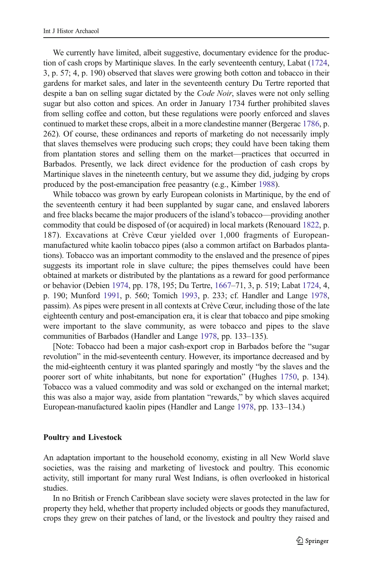We currently have limited, albeit suggestive, documentary evidence for the production of cash crops by Martinique slaves. In the early seventeenth century, Labat [\(1724,](#page-23-0) 3, p. 57; 4, p. 190) observed that slaves were growing both cotton and tobacco in their gardens for market sales, and later in the seventeenth century Du Tertre reported that despite a ban on selling sugar dictated by the *Code Noir*, slaves were not only selling sugar but also cotton and spices. An order in January 1734 further prohibited slaves from selling coffee and cotton, but these regulations were poorly enforced and slaves continued to market these crops, albeit in a more clandestine manner (Bergerac [1786](#page-21-0), p. 262). Of course, these ordinances and reports of marketing do not necessarily imply that slaves themselves were producing such crops; they could have been taking them from plantation stores and selling them on the market—practices that occurred in Barbados. Presently, we lack direct evidence for the production of cash crops by Martinique slaves in the nineteenth century, but we assume they did, judging by crops produced by the post-emancipation free peasantry (e.g., Kimber [1988](#page-23-0)).

While tobacco was grown by early European colonists in Martinique, by the end of the seventeenth century it had been supplanted by sugar cane, and enslaved laborers and free blacks became the major producers of the island's tobacco—providing another commodity that could be disposed of (or acquired) in local markets (Renouard [1822](#page-25-0), p. 187). Excavations at Crève Cœur yielded over 1,000 fragments of Europeanmanufactured white kaolin tobacco pipes (also a common artifact on Barbados plantations). Tobacco was an important commodity to the enslaved and the presence of pipes suggests its important role in slave culture; the pipes themselves could have been obtained at markets or distributed by the plantations as a reward for good performance or behavior (Debien [1974](#page-22-0), pp. 178, 195; Du Tertre, [1667](#page-22-0)–71, 3, p. 519; Labat [1724,](#page-23-0) 4, p. 190; Munford [1991](#page-24-0), p. 560; Tomich [1993,](#page-25-0) p. 233; cf. Handler and Lange [1978,](#page-23-0) passim). As pipes were present in all contexts at Crève Cœur, including those of the late eighteenth century and post-emancipation era, it is clear that tobacco and pipe smoking were important to the slave community, as were tobacco and pipes to the slave communities of Barbados (Handler and Lange [1978,](#page-23-0) pp. 133–135).

[Note: Tobacco had been a major cash-export crop in Barbados before the "sugar revolution" in the mid-seventeenth century. However, its importance decreased and by the mid-eighteenth century it was planted sparingly and mostly "by the slaves and the poorer sort of white inhabitants, but none for exportation" (Hughes [1750,](#page-23-0) p. 134). Tobacco was a valued commodity and was sold or exchanged on the internal market; this was also a major way, aside from plantation "rewards," by which slaves acquired European-manufactured kaolin pipes (Handler and Lange [1978,](#page-23-0) pp. 133–134.)

#### Poultry and Livestock

An adaptation important to the household economy, existing in all New World slave societies, was the raising and marketing of livestock and poultry. This economic activity, still important for many rural West Indians, is often overlooked in historical studies.

In no British or French Caribbean slave society were slaves protected in the law for property they held, whether that property included objects or goods they manufactured, crops they grew on their patches of land, or the livestock and poultry they raised and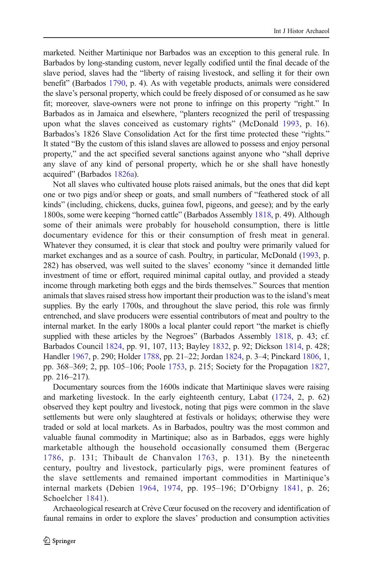marketed. Neither Martinique nor Barbados was an exception to this general rule. In Barbados by long-standing custom, never legally codified until the final decade of the slave period, slaves had the "liberty of raising livestock, and selling it for their own benefit" (Barbados [1790,](#page-21-0) p. 4). As with vegetable products, animals were considered the slave's personal property, which could be freely disposed of or consumed as he saw fit; moreover, slave-owners were not prone to infringe on this property "right." In Barbados as in Jamaica and elsewhere, "planters recognized the peril of trespassing upon what the slaves conceived as customary rights" (McDonald [1993](#page-24-0), p. 16). Barbados's 1826 Slave Consolidation Act for the first time protected these "rights." It stated "By the custom of this island slaves are allowed to possess and enjoy personal property," and the act specified several sanctions against anyone who "shall deprive any slave of any kind of personal property, which he or she shall have honestly acquired" (Barbados [1826a](#page-21-0)).

Not all slaves who cultivated house plots raised animals, but the ones that did kept one or two pigs and/or sheep or goats, and small numbers of "feathered stock of all kinds" (including, chickens, ducks, guinea fowl, pigeons, and geese); and by the early 1800s, some were keeping "horned cattle" (Barbados Assembly [1818,](#page-21-0) p. 49). Although some of their animals were probably for household consumption, there is little documentary evidence for this or their consumption of fresh meat in general. Whatever they consumed, it is clear that stock and poultry were primarily valued for market exchanges and as a source of cash. Poultry, in particular, McDonald ([1993](#page-24-0), p. 282) has observed, was well suited to the slaves' economy "since it demanded little investment of time or effort, required minimal capital outlay, and provided a steady income through marketing both eggs and the birds themselves." Sources that mention animals that slaves raised stress how important their production was to the island's meat supplies. By the early 1700s, and throughout the slave period, this role was firmly entrenched, and slave producers were essential contributors of meat and poultry to the internal market. In the early 1800s a local planter could report "the market is chiefly supplied with these articles by the Negroes" (Barbados Assembly [1818](#page-21-0), p. 43; cf. Barbados Council [1824,](#page-21-0) pp. 91, 107, 113; Bayley [1832](#page-21-0), p. 92; Dickson [1814](#page-22-0), p. 428; Handler [1967](#page-22-0), p. 290; Holder [1788,](#page-23-0) pp. 21–22; Jordan [1824,](#page-23-0) p. 3–4; Pinckard [1806](#page-24-0), 1, pp. 368–369; 2, pp. 105–106; Poole [1753,](#page-24-0) p. 215; Society for the Propagation [1827,](#page-25-0) pp. 216–217).

Documentary sources from the 1600s indicate that Martinique slaves were raising and marketing livestock. In the early eighteenth century, Labat ([1724,](#page-23-0) 2, p. 62) observed they kept poultry and livestock, noting that pigs were common in the slave settlements but were only slaughtered at festivals or holidays; otherwise they were traded or sold at local markets. As in Barbados, poultry was the most common and valuable faunal commodity in Martinique; also as in Barbados, eggs were highly marketable although the household occasionally consumed them (Bergerac [1786](#page-21-0), p. 131; Thibault de Chanvalon [1763,](#page-25-0) p. 131). By the nineteenth century, poultry and livestock, particularly pigs, were prominent features of the slave settlements and remained important commodities in Martinique's internal markets (Debien [1964,](#page-21-0) [1974](#page-22-0), pp. 195–196; D'Orbigny [1841,](#page-21-0) p. 26; Schoelcher [1841](#page-25-0)).

Archaeological research at Crève Cœur focused on the recovery and identification of faunal remains in order to explore the slaves' production and consumption activities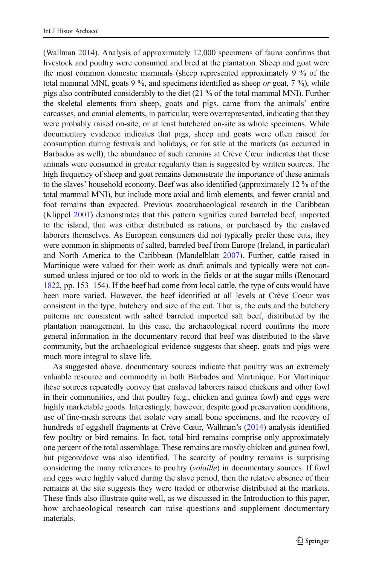(Wallman [2014\)](#page-25-0). Analysis of approximately 12,000 specimens of fauna confirms that livestock and poultry were consumed and bred at the plantation. Sheep and goat were the most common domestic mammals (sheep represented approximately 9 % of the total mammal MNI, goats 9 %, and specimens identified as sheep or goat,  $7 \frac{\frac{1}{2}}{10}$ , while pigs also contributed considerably to the diet (21 % of the total mammal MNI). Further the skeletal elements from sheep, goats and pigs, came from the animals' entire carcasses, and cranial elements, in particular, were overrepresented, indicating that they were probably raised on-site, or at least butchered on-site as whole specimens. While documentary evidence indicates that pigs, sheep and goats were often raised for consumption during festivals and holidays, or for sale at the markets (as occurred in Barbados as well), the abundance of such remains at Crève Cœur indicates that these animals were consumed in greater regularity than is suggested by written sources. The high frequency of sheep and goat remains demonstrate the importance of these animals to the slaves' household economy. Beef was also identified (approximately 12 % of the total mammal MNI), but include more axial and limb elements, and fewer cranial and foot remains than expected. Previous zooarchaeological research in the Caribbean (Klippel [2001](#page-23-0)) demonstrates that this pattern signifies cured barreled beef, imported to the island, that was either distributed as rations, or purchased by the enslaved laborers themselves. As European consumers did not typically prefer these cuts, they were common in shipments of salted, barreled beef from Europe (Ireland, in particular) and North America to the Caribbean (Mandelblatt [2007](#page-24-0)). Further, cattle raised in Martinique were valued for their work as draft animals and typically were not consumed unless injured or too old to work in the fields or at the sugar mills (Renouard [1822,](#page-25-0) pp. 153–154). If the beef had come from local cattle, the type of cuts would have been more varied. However, the beef identified at all levels at Crève Coeur was consistent in the type, butchery and size of the cut. That is, the cuts and the butchery patterns are consistent with salted barreled imported salt beef, distributed by the plantation management. In this case, the archaeological record confirms the more general information in the documentary record that beef was distributed to the slave community, but the archaeological evidence suggests that sheep, goats and pigs were much more integral to slave life.

As suggested above, documentary sources indicate that poultry was an extremely valuable resource and commodity in both Barbados and Martinique. For Martinique these sources repeatedly convey that enslaved laborers raised chickens and other fowl in their communities, and that poultry (e.g., chicken and guinea fowl) and eggs were highly marketable goods. Interestingly, however, despite good preservation conditions, use of fine-mesh screens that isolate very small bone specimens, and the recovery of hundreds of eggshell fragments at Crève Cœur, Wallman's ([2014](#page-25-0)) analysis identified few poultry or bird remains. In fact, total bird remains comprise only approximately one percent of the total assemblage. These remains are mostly chicken and guinea fowl, but pigeon/dove was also identified. The scarcity of poultry remains is surprising considering the many references to poultry (volaille) in documentary sources. If fowl and eggs were highly valued during the slave period, then the relative absence of their remains at the site suggests they were traded or otherwise distributed at the markets. These finds also illustrate quite well, as we discussed in the Introduction to this paper, how archaeological research can raise questions and supplement documentary materials.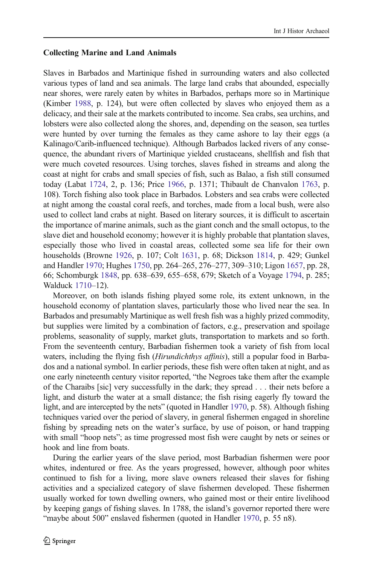## Collecting Marine and Land Animals

Slaves in Barbados and Martinique fished in surrounding waters and also collected various types of land and sea animals. The large land crabs that abounded, especially near shores, were rarely eaten by whites in Barbados, perhaps more so in Martinique (Kimber [1988](#page-23-0), p. 124), but were often collected by slaves who enjoyed them as a delicacy, and their sale at the markets contributed to income. Sea crabs, sea urchins, and lobsters were also collected along the shores, and, depending on the season, sea turtles were hunted by over turning the females as they came ashore to lay their eggs (a Kalinago/Carib-influenced technique). Although Barbados lacked rivers of any consequence, the abundant rivers of Martinique yielded crustaceans, shellfish and fish that were much coveted resources. Using torches, slaves fished in streams and along the coast at night for crabs and small species of fish, such as Balao, a fish still consumed today (Labat [1724,](#page-23-0) 2, p. 136; Price [1966,](#page-24-0) p. 1371; Thibault de Chanvalon [1763,](#page-25-0) p. 108). Torch fishing also took place in Barbados. Lobsters and sea crabs were collected at night among the coastal coral reefs, and torches, made from a local bush, were also used to collect land crabs at night. Based on literary sources, it is difficult to ascertain the importance of marine animals, such as the giant conch and the small octopus, to the slave diet and household economy; however it is highly probable that plantation slaves, especially those who lived in coastal areas, collected some sea life for their own households (Browne [1926,](#page-21-0) p. 107; Colt [1631](#page-21-0), p. 68; Dickson [1814,](#page-22-0) p. 429; Gunkel and Handler [1970](#page-22-0); Hughes [1750](#page-23-0), pp. 264–265, 276–277, 309–310; Ligon [1657](#page-24-0), pp. 28, 66; Schomburgk [1848](#page-25-0), pp. 638–639, 655–658, 679; Sketch of a Voyage [1794,](#page-25-0) p. 285; Walduck [1710](#page-25-0)–12).

Moreover, on both islands fishing played some role, its extent unknown, in the household economy of plantation slaves, particularly those who lived near the sea. In Barbados and presumably Martinique as well fresh fish was a highly prized commodity, but supplies were limited by a combination of factors, e.g., preservation and spoilage problems, seasonality of supply, market gluts, transportation to markets and so forth. From the seventeenth century, Barbadian fishermen took a variety of fish from local waters, including the flying fish (Hirundichthys affinis), still a popular food in Barbados and a national symbol. In earlier periods, these fish were often taken at night, and as one early nineteenth century visitor reported, "the Negroes take them after the example of the Charaibs [sic] very successfully in the dark; they spread . . . their nets before a light, and disturb the water at a small distance; the fish rising eagerly fly toward the light, and are intercepted by the nets" (quoted in Handler [1970,](#page-22-0) p. 58). Although fishing techniques varied over the period of slavery, in general fishermen engaged in shoreline fishing by spreading nets on the water's surface, by use of poison, or hand trapping with small "hoop nets"; as time progressed most fish were caught by nets or seines or hook and line from boats.

During the earlier years of the slave period, most Barbadian fishermen were poor whites, indentured or free. As the years progressed, however, although poor whites continued to fish for a living, more slave owners released their slaves for fishing activities and a specialized category of slave fishermen developed. These fishermen usually worked for town dwelling owners, who gained most or their entire livelihood by keeping gangs of fishing slaves. In 1788, the island's governor reported there were "maybe about 500" enslaved fishermen (quoted in Handler [1970,](#page-22-0) p. 55 n8).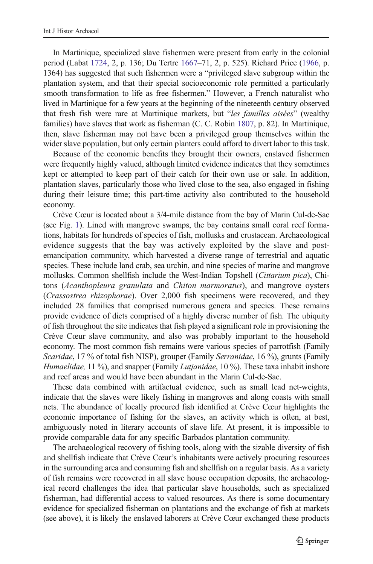In Martinique, specialized slave fishermen were present from early in the colonial period (Labat [1724](#page-23-0), 2, p. 136; Du Tertre [1667](#page-22-0)–71, 2, p. 525). Richard Price [\(1966,](#page-24-0) p. 1364) has suggested that such fishermen were a "privileged slave subgroup within the plantation system, and that their special socioeconomic role permitted a particularly smooth transformation to life as free fishermen." However, a French naturalist who lived in Martinique for a few years at the beginning of the nineteenth century observed that fresh fish were rare at Martinique markets, but "les familles aisées" (wealthy families) have slaves that work as fisherman (C. C. Robin [1807](#page-25-0), p. 82). In Martinique, then, slave fisherman may not have been a privileged group themselves within the wider slave population, but only certain planters could afford to divert labor to this task.

Because of the economic benefits they brought their owners, enslaved fishermen were frequently highly valued, although limited evidence indicates that they sometimes kept or attempted to keep part of their catch for their own use or sale. In addition, plantation slaves, particularly those who lived close to the sea, also engaged in fishing during their leisure time; this part-time activity also contributed to the household economy.

Crève Cœur is located about a 3/4-mile distance from the bay of Marin Cul-de-Sac (see Fig. [1\)](#page-1-0). Lined with mangrove swamps, the bay contains small coral reef formations, habitats for hundreds of species of fish, mollusks and crustacean. Archaeological evidence suggests that the bay was actively exploited by the slave and postemancipation community, which harvested a diverse range of terrestrial and aquatic species. These include land crab, sea urchin, and nine species of marine and mangrove mollusks. Common shellfish include the West-Indian Topshell (*Cittarium pica*), Chitons (Acanthopleura granulata and Chiton marmoratus), and mangrove oysters (Crassostrea rhizophorae). Over 2,000 fish specimens were recovered, and they included 28 families that comprised numerous genera and species. These remains provide evidence of diets comprised of a highly diverse number of fish. The ubiquity of fish throughout the site indicates that fish played a significant role in provisioning the Crève Cœur slave community, and also was probably important to the household economy. The most common fish remains were various species of parrotfish (Family Scaridae, 17 % of total fish NISP), grouper (Family Serranidae, 16 %), grunts (Family *Humaelidae*, 11 %), and snapper (Family *Lutjanidae*, 10 %). These taxa inhabit inshore and reef areas and would have been abundant in the Marin Cul-de-Sac.

These data combined with artifactual evidence, such as small lead net-weights, indicate that the slaves were likely fishing in mangroves and along coasts with small nets. The abundance of locally procured fish identified at Crève Cœur highlights the economic importance of fishing for the slaves, an activity which is often, at best, ambiguously noted in literary accounts of slave life. At present, it is impossible to provide comparable data for any specific Barbados plantation community.

The archaeological recovery of fishing tools, along with the sizable diversity of fish and shellfish indicate that Crève Cœur's inhabitants were actively procuring resources in the surrounding area and consuming fish and shellfish on a regular basis. As a variety of fish remains were recovered in all slave house occupation deposits, the archaeological record challenges the idea that particular slave households, such as specialized fisherman, had differential access to valued resources. As there is some documentary evidence for specialized fisherman on plantations and the exchange of fish at markets (see above), it is likely the enslaved laborers at Crève Cœur exchanged these products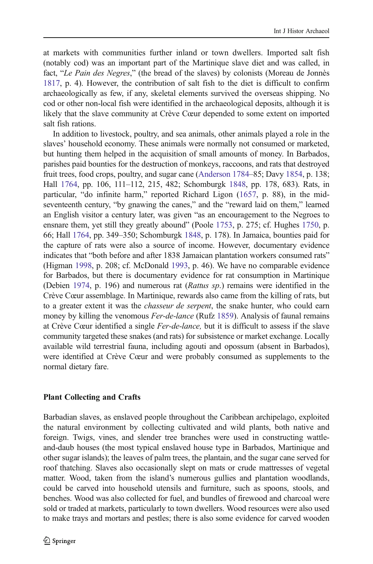at markets with communities further inland or town dwellers. Imported salt fish (notably cod) was an important part of the Martinique slave diet and was called, in fact, "Le Pain des Negres," (the bread of the slaves) by colonists (Moreau de Jonnès [1817,](#page-24-0) p. 4). However, the contribution of salt fish to the diet is difficult to confirm archaeologically as few, if any, skeletal elements survived the overseas shipping. No cod or other non-local fish were identified in the archaeological deposits, although it is likely that the slave community at Crève Cœur depended to some extent on imported salt fish rations.

In addition to livestock, poultry, and sea animals, other animals played a role in the slaves' household economy. These animals were normally not consumed or marketed, but hunting them helped in the acquisition of small amounts of money. In Barbados, parishes paid bounties for the destruction of monkeys, raccoons, and rats that destroyed fruit trees, food crops, poultry, and sugar cane ([Anderson 1784](#page-20-0)–85; Davy [1854](#page-21-0), p. 138; Hall [1764](#page-22-0), pp. 106, 111–112, 215, 482; Schomburgk [1848,](#page-25-0) pp. 178, 683). Rats, in particular, "do infinite harm," reported Richard Ligon [\(1657](#page-24-0), p. 88), in the midseventeenth century, "by gnawing the canes," and the "reward laid on them," learned an English visitor a century later, was given "as an encouragement to the Negroes to ensnare them, yet still they greatly abound" (Poole [1753,](#page-24-0) p. 275; cf. Hughes [1750](#page-23-0), p. 66; Hall [1764](#page-22-0), pp. 349–350; Schomburgk [1848,](#page-25-0) p. 178). In Jamaica, bounties paid for the capture of rats were also a source of income. However, documentary evidence indicates that "both before and after 1838 Jamaican plantation workers consumed rats" (Higman [1998](#page-23-0), p. 208; cf. McDonald [1993](#page-24-0), p. 46). We have no comparable evidence for Barbados, but there is documentary evidence for rat consumption in Martinique (Debien [1974,](#page-22-0) p. 196) and numerous rat (Rattus sp.) remains were identified in the Crève Cœur assemblage. In Martinique, rewards also came from the killing of rats, but to a greater extent it was the *chasseur de serpent*, the snake hunter, who could earn money by killing the venomous Fer-de-lance (Rufz [1859](#page-25-0)). Analysis of faunal remains at Crève Cœur identified a single Fer-de-lance, but it is difficult to assess if the slave community targeted these snakes (and rats) for subsistence or market exchange. Locally available wild terrestrial fauna, including agouti and opossum (absent in Barbados), were identified at Crève Cœur and were probably consumed as supplements to the normal dietary fare.

## Plant Collecting and Crafts

Barbadian slaves, as enslaved people throughout the Caribbean archipelago, exploited the natural environment by collecting cultivated and wild plants, both native and foreign. Twigs, vines, and slender tree branches were used in constructing wattleand-daub houses (the most typical enslaved house type in Barbados, Martinique and other sugar islands); the leaves of palm trees, the plantain, and the sugar cane served for roof thatching. Slaves also occasionally slept on mats or crude mattresses of vegetal matter. Wood, taken from the island's numerous gullies and plantation woodlands, could be carved into household utensils and furniture, such as spoons, stools, and benches. Wood was also collected for fuel, and bundles of firewood and charcoal were sold or traded at markets, particularly to town dwellers. Wood resources were also used to make trays and mortars and pestles; there is also some evidence for carved wooden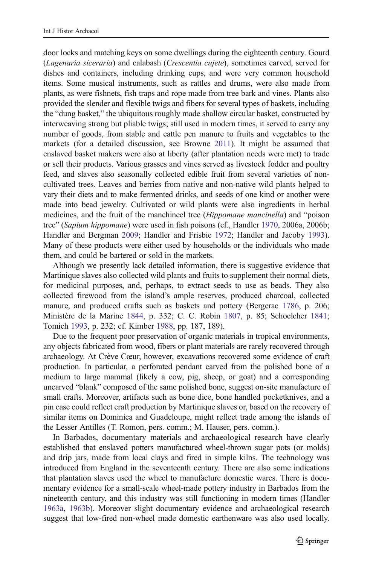door locks and matching keys on some dwellings during the eighteenth century. Gourd (Lagenaria siceraria) and calabash (Crescentia cujete), sometimes carved, served for dishes and containers, including drinking cups, and were very common household items. Some musical instruments, such as rattles and drums, were also made from plants, as were fishnets, fish traps and rope made from tree bark and vines. Plants also provided the slender and flexible twigs and fibers for several types of baskets, including the "dung basket," the ubiquitous roughly made shallow circular basket, constructed by interweaving strong but pliable twigs; still used in modern times, it served to carry any number of goods, from stable and cattle pen manure to fruits and vegetables to the markets (for a detailed discussion, see Browne [2011](#page-21-0)). It might be assumed that enslaved basket makers were also at liberty (after plantation needs were met) to trade or sell their products. Various grasses and vines served as livestock fodder and poultry feed, and slaves also seasonally collected edible fruit from several varieties of noncultivated trees. Leaves and berries from native and non-native wild plants helped to vary their diets and to make fermented drinks, and seeds of one kind or another were made into bead jewelry. Cultivated or wild plants were also ingredients in herbal medicines, and the fruit of the manchineel tree (*Hippomane mancinella*) and "poison tree" (Sapium hippomane) were used in fish poisons (cf., Handler [1970,](#page-22-0) 2006a, 2006b; Handler and Bergman [2009](#page-22-0); Handler and Frisbie [1972;](#page-23-0) Handler and Jacoby [1993\)](#page-23-0). Many of these products were either used by households or the individuals who made them, and could be bartered or sold in the markets.

Although we presently lack detailed information, there is suggestive evidence that Martinique slaves also collected wild plants and fruits to supplement their normal diets, for medicinal purposes, and, perhaps, to extract seeds to use as beads. They also collected firewood from the island's ample reserves, produced charcoal, collected manure, and produced crafts such as baskets and pottery (Bergerac [1786](#page-21-0), p. 206; Ministère de la Marine [1844,](#page-24-0) p. 332; C. C. Robin [1807,](#page-25-0) p. 85; Schoelcher [1841;](#page-25-0) Tomich [1993](#page-25-0), p. 232; cf. Kimber [1988,](#page-23-0) pp. 187, 189).

Due to the frequent poor preservation of organic materials in tropical environments, any objects fabricated from wood, fibers or plant materials are rarely recovered through archaeology. At Crève Cœur, however, excavations recovered some evidence of craft production. In particular, a perforated pendant carved from the polished bone of a medium to large mammal (likely a cow, pig, sheep, or goat) and a corresponding uncarved "blank" composed of the same polished bone, suggest on-site manufacture of small crafts. Moreover, artifacts such as bone dice, bone handled pocketknives, and a pin case could reflect craft production by Martinique slaves or, based on the recovery of similar items on Dominica and Guadeloupe, might reflect trade among the islands of the Lesser Antilles (T. Romon, pers. comm.; M. Hauser, pers. comm.).

In Barbados, documentary materials and archaeological research have clearly established that enslaved potters manufactured wheel-thrown sugar pots (or molds) and drip jars, made from local clays and fired in simple kilns. The technology was introduced from England in the seventeenth century. There are also some indications that plantation slaves used the wheel to manufacture domestic wares. There is documentary evidence for a small-scale wheel-made pottery industry in Barbados from the nineteenth century, and this industry was still functioning in modern times (Handler [1963a,](#page-22-0) [1963b](#page-22-0)). Moreover slight documentary evidence and archaeological research suggest that low-fired non-wheel made domestic earthenware was also used locally.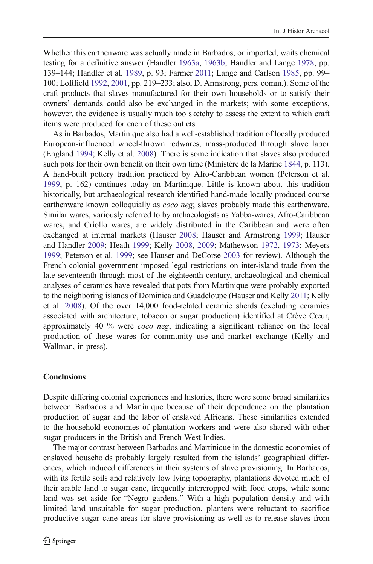Whether this earthenware was actually made in Barbados, or imported, waits chemical testing for a definitive answer (Handler [1963a,](#page-22-0) [1963b;](#page-22-0) Handler and Lange [1978](#page-23-0), pp. 139–144; Handler et al. [1989](#page-23-0), p. 93; Farmer [2011](#page-22-0); Lange and Carlson [1985,](#page-23-0) pp. 99– 100; Loftfield [1992](#page-24-0), [2001](#page-24-0), pp. 219–233; also, D. Armstrong, pers. comm.). Some of the craft products that slaves manufactured for their own households or to satisfy their owners' demands could also be exchanged in the markets; with some exceptions, however, the evidence is usually much too sketchy to assess the extent to which craft items were produced for each of these outlets.

As in Barbados, Martinique also had a well-established tradition of locally produced European-influenced wheel-thrown redwares, mass-produced through slave labor (England [1994](#page-22-0); Kelly et al. [2008](#page-23-0)). There is some indication that slaves also produced such pots for their own benefit on their own time (Ministère de la Marine [1844](#page-24-0), p. 113). A hand-built pottery tradition practiced by Afro-Caribbean women (Peterson et al. [1999,](#page-24-0) p. 162) continues today on Martinique. Little is known about this tradition historically, but archaeological research identified hand-made locally produced course earthenware known colloquially as *coco neg*; slaves probably made this earthenware. Similar wares, variously referred to by archaeologists as Yabba-wares, Afro-Caribbean wares, and Criollo wares, are widely distributed in the Caribbean and were often exchanged at internal markets (Hauser [2008;](#page-23-0) Hauser and Armstrong [1999;](#page-23-0) Hauser and Handler [2009](#page-23-0); Heath [1999;](#page-23-0) Kelly [2008,](#page-23-0) [2009](#page-23-0); Mathewson [1972](#page-24-0), [1973;](#page-24-0) Meyers [1999;](#page-24-0) Peterson et al. [1999;](#page-24-0) see Hauser and DeCorse [2003](#page-23-0) for review). Although the French colonial government imposed legal restrictions on inter-island trade from the late seventeenth through most of the eighteenth century, archaeological and chemical analyses of ceramics have revealed that pots from Martinique were probably exported to the neighboring islands of Dominica and Guadeloupe (Hauser and Kelly [2011;](#page-23-0) Kelly et al. [2008](#page-23-0)). Of the over 14,000 food-related ceramic sherds (excluding ceramics associated with architecture, tobacco or sugar production) identified at Crève Cœur, approximately 40 % were coco neg, indicating a significant reliance on the local production of these wares for community use and market exchange (Kelly and Wallman, in press).

## **Conclusions**

Despite differing colonial experiences and histories, there were some broad similarities between Barbados and Martinique because of their dependence on the plantation production of sugar and the labor of enslaved Africans. These similarities extended to the household economies of plantation workers and were also shared with other sugar producers in the British and French West Indies.

The major contrast between Barbados and Martinique in the domestic economies of enslaved households probably largely resulted from the islands' geographical differences, which induced differences in their systems of slave provisioning. In Barbados, with its fertile soils and relatively low lying topography, plantations devoted much of their arable land to sugar cane, frequently intercropped with food crops, while some land was set aside for "Negro gardens." With a high population density and with limited land unsuitable for sugar production, planters were reluctant to sacrifice productive sugar cane areas for slave provisioning as well as to release slaves from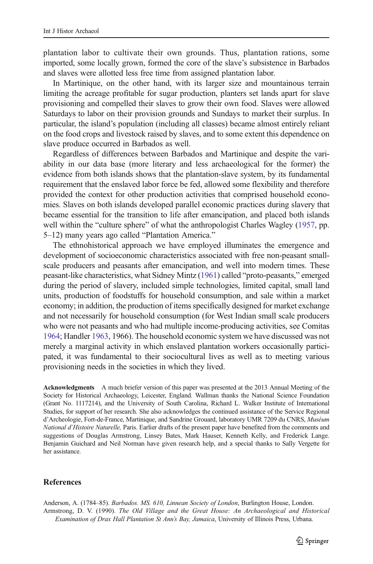<span id="page-20-0"></span>plantation labor to cultivate their own grounds. Thus, plantation rations, some imported, some locally grown, formed the core of the slave's subsistence in Barbados and slaves were allotted less free time from assigned plantation labor.

In Martinique, on the other hand, with its larger size and mountainous terrain limiting the acreage profitable for sugar production, planters set lands apart for slave provisioning and compelled their slaves to grow their own food. Slaves were allowed Saturdays to labor on their provision grounds and Sundays to market their surplus. In particular, the island's population (including all classes) became almost entirely reliant on the food crops and livestock raised by slaves, and to some extent this dependence on slave produce occurred in Barbados as well.

Regardless of differences between Barbados and Martinique and despite the variability in our data base (more literary and less archaeological for the former) the evidence from both islands shows that the plantation-slave system, by its fundamental requirement that the enslaved labor force be fed, allowed some flexibility and therefore provided the context for other production activities that comprised household economies. Slaves on both islands developed parallel economic practices during slavery that became essential for the transition to life after emancipation, and placed both islands well within the "culture sphere" of what the anthropologist Charles Wagley [\(1957,](#page-25-0) pp. 5–12) many years ago called "Plantation America."

The ethnohistorical approach we have employed illuminates the emergence and development of socioeconomic characteristics associated with free non-peasant smallscale producers and peasants after emancipation, and well into modern times. These peasant-like characteristics, what Sidney Mintz [\(1961\)](#page-24-0) called "proto-peasants," emerged during the period of slavery, included simple technologies, limited capital, small land units, production of foodstuffs for household consumption, and sale within a market economy; in addition, the production of items specifically designed for market exchange and not necessarily for household consumption (for West Indian small scale producers who were not peasants and who had multiple income-producing activities, see Comitas [1964;](#page-21-0) Handler [1963,](#page-22-0) 1966). The household economic system we have discussed was not merely a marginal activity in which enslaved plantation workers occasionally participated, it was fundamental to their sociocultural lives as well as to meeting various provisioning needs in the societies in which they lived.

Acknowledgments A much briefer version of this paper was presented at the 2013 Annual Meeting of the Society for Historical Archaeology, Leicester, England. Wallman thanks the National Science Foundation (Grant No. 1117214), and the University of South Carolina, Richard L. Walker Institute of International Studies, for support of her research. She also acknowledges the continued assistance of the Service Regional d'Archeologie, Fort-de-France, Martinique, and Sandrine Grouard, laboratory UMR 7209 du CNRS, Muséum National d'Histoire Naturelle, Paris. Earlier drafts of the present paper have benefited from the comments and suggestions of Douglas Armstrong, Linsey Bates, Mark Hauser, Kenneth Kelly, and Frederick Lange. Benjamin Guichard and Neil Norman have given research help, and a special thanks to Sally Vergette for her assistance.

## References

Anderson, A. (1784–85). Barbados. MS. 610, Linnean Society of London, Burlington House, London. Armstrong, D. V. (1990). The Old Village and the Great House: An Archaeological and Historical Examination of Drax Hall Plantation St Ann's Bay, Jamaica, University of Illinois Press, Urbana.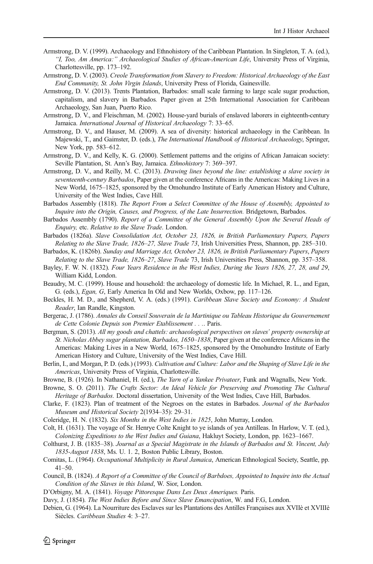- <span id="page-21-0"></span>Armstrong, D. V. (1999). Archaeology and Ethnohistory of the Caribbean Plantation. In Singleton, T. A. (ed.), "I, Too, Am America:" Archaeological Studies of African-American Life, University Press of Virginia, Charlottesville, pp. 173–192.
- Armstrong, D. V. (2003). Creole Transformation from Slavery to Freedom: Historical Archaeology of the East End Community, St. John Virgin Islands, University Press of Florida, Gainesville.
- Armstrong, D. V. (2013). Trents Plantation, Barbados: small scale farming to large scale sugar production, capitalism, and slavery in Barbados. Paper given at 25th International Association for Caribbean Archaeology, San Juan, Puerto Rico.
- Armstrong, D. V., and Fleischman, M. (2002). House-yard burials of enslaved laborers in eighteenth-century Jamaica. International Journal of Historical Archaeology 7: 33–65.
- Armstrong, D. V., and Hauser, M. (2009). A sea of diversity: historical archaeology in the Caribbean. In Majewski, T., and Gaimster, D. (eds.), The International Handbook of Historical Archaeology, Springer, New York, pp. 583–612.
- Armstrong, D. V., and Kelly, K. G. (2000). Settlement patterns and the origins of African Jamaican society: Seville Plantation, St. Ann's Bay, Jamaica. Ethnohistory 7: 369–397.
- Armstrong, D. V., and Reilly, M. C. (2013). Drawing lines beyond the line: establishing a slave society in seventeenth-century Barbados, Paper given at the conference Africans in the Americas: Making Lives in a New World, 1675–1825, sponsored by the Omohundro Institute of Early American History and Culture, University of the West Indies, Cave Hill.
- Barbados Assembly (1818). The Report From a Select Committee of the House of Assembly, Appointed to Inquire into the Origin, Causes, and Progress, of the Late Insurrection. Bridgetown, Barbados.
- Barbados Assembly (1790). Report of a Committee of the General Assembly Upon the Several Heads of Enquiry, etc. Relative to the Slave Trade. London.
- Barbados (1826a). Slave Consolidation Act, October 23, 1826, in British Parliamentary Papers, Papers Relating to the Slave Trade, 1826–27, Slave Trade 73, Irish Universities Press, Shannon, pp. 285–310.
- Barbados, K. (1826b). Sunday and Marriage Act, October 23, 1826, in British Parliamentary Papers, Papers Relating to the Slave Trade, 1826–27, Slave Trade 73, Irish Universities Press, Shannon, pp. 357–358.
- Bayley, F. W. N. (1832). Four Years Residence in the West Indies, During the Years 1826, 27, 28, and 29, William Kidd, London.
- Beaudry, M. C. (1999). House and household: the archaeology of domestic life. In Michael, R. L., and Egan, G. (eds.), Egan, G, Early America In Old and New Worlds, Oxbow, pp. 117–126.
- Beckles, H. M. D., and Shepherd, V. A. (eds.) (1991). Caribbean Slave Society and Economy: A Student Reader, Ian Randle, Kingston.
- Bergerac, J. (1786). Annales du Conseil Souverain de la Martinique ou Tableau Historique du Gouvernement de Cette Colonie Depuis son Premier Etablissement . . .. Paris.
- Bergman, S. (2013). All my goods and chattels: archaeological perspectives on slaves' property ownership at St. Nicholas Abbey sugar plantation, Barbados, 1650–1838, Paper given at the conference Africans in the Americas: Making Lives in a New World, 1675–1825, sponsored by the Omohundro Institute of Early American History and Culture, University of the West Indies, Cave Hill.
- Berlin, I., and Morgan, P. D. (eds.) (1993). Cultivation and Culture: Labor and the Shaping of Slave Life in the Americas, University Press of Virginia, Charlottesville.
- Browne, B. (1926). In Nathaniel, H. (ed.), The Yarn of a Yankee Privateer, Funk and Wagnalls, New York.
- Browne, S. O. (2011). The Crafts Sector: An Ideal Vehicle for Preserving and Promoting The Cultural Heritage of Barbados. Doctoral dissertation, University of the West Indies, Cave Hill, Barbados.
- Clarke, F. (1823). Plan of treatment of the Negroes on the estates in Barbados. Journal of the Barbados Museum and Historical Society 2(1934–35): 29–31.
- Coleridge, H. N. (1832). Six Months in the West Indies in 1825, John Murray, London.
- Colt, H. (1631). The voyage of Sr. Henrye Colte Knight to ye islands of yea Antilleas. In Harlow, V. T. (ed.), Colonizing Expeditions to the West Indies and Guiana, Hakluyt Society, London, pp. 1623–1667.
- Colthurst, J. B. (1835–38). Journal as a Special Magistrate in the Islands of Barbados and St. Vincent, July 1835-August 1838, Ms. U. 1. 2, Boston Public Library, Boston.
- Comitas, L. (1964). Occupational Multiplicity in Rural Jamaica, American Ethnological Society, Seattle, pp.  $41 - 50$
- Council, B. (1824). A Report of a Committee of the Council of Barbdoes, Appointed to Inquire into the Actual Condition of the Slaves in this Island, W. Sior, London.
- D'Orbigny, M. A. (1841). Voyage Pittoresque Dans Les Deux Ameriques. Paris.
- Davy, J. (1854). The West Indies Before and Since Slave Emancipation, W. and F.G, London.
- Debien, G. (1964). La Nourriture des Esclaves sur les Plantations des Antilles Françaises aux XVIIè et XVIIIè Siècles. Caribbean Studies 4: 3–27.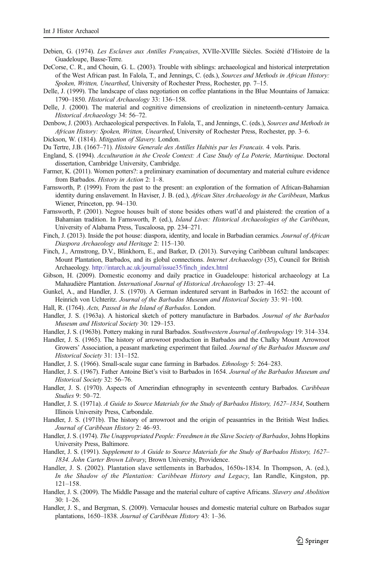- <span id="page-22-0"></span>Debien, G. (1974). Les Esclaves aux Antilles Françaises, XVIIe-XVIIIe Siècles. Société d'Histoire de la Guadeloupe, Basse-Terre.
- DeCorse, C. R., and Chouin, G. L. (2003). Trouble with siblings: archaeological and historical interpretation of the West African past. In Falola, T., and Jennings, C. (eds.), Sources and Methods in African History: Spoken, Written, Unearthed, University of Rochester Press, Rochester, pp. 7-15.
- Delle, J. (1999). The landscape of class negotiation on coffee plantations in the Blue Mountains of Jamaica: 1790–1850. Historical Archaeology 33: 136–158.
- Delle, J. (2000). The material and cognitive dimensions of creolization in nineteenth-century Jamaica. Historical Archaeology 34: 56–72.
- Denbow, J. (2003). Archaeological perspectives. In Falola, T., and Jennings, C. (eds.), Sources and Methods in African History: Spoken, Written, Unearthed, University of Rochester Press, Rochester, pp. 3-6.
- Dickson, W. (1814). Mitigation of Slavery. London.
- Du Tertre, J.B. (1667–71). Histoire Generale des Antilles Habités par les Francais. 4 vols. Paris.
- England, S. (1994). Acculturation in the Creole Context: A Case Study of La Poterie, Martinique. Doctoral dissertation, Cambridge University, Cambridge.
- Farmer, K. (2011). Women potters?: a preliminary examination of documentary and material culture evidence from Barbados. History in Action 2: 1–8.
- Farnsworth, P. (1999). From the past to the present: an exploration of the formation of African-Bahamian identity during enslavement. In Haviser, J. B. (ed.), African Sites Archaeology in the Caribbean, Markus Wiener, Princeton, pp. 94–130.
- Farnsworth, P. (2001). Negroe houses built of stone besides others watl'd and plaistered: the creation of a Bahamian tradition. In Farnsworth, P. (ed.), Island Lives: Historical Archaeologies of the Caribbean, University of Alabama Press, Tuscaloosa, pp. 234–271.
- Finch, J. (2013). Inside the pot house: diaspora, identity, and locale in Barbadian ceramics. Journal of African Diaspora Archaeology and Heritage 2: 115–130.
- Finch, J., Armstrong, D.V., Blinkhorn, E., and Barker, D. (2013). Surveying Caribbean cultural landscapes: Mount Plantation, Barbados, and its global connections. *Internet Archaeology* (35), Council for British Archaeology. [http://intarch.ac.uk/journal/issue35/finch\\_index.html](http://intarch.ac.uk/journal/issue35/finch_index.html)
- Gibson, H. (2009). Domestic economy and daily practice in Guadeloupe: historical archaeology at La Mahaudière Plantation. International Journal of Historical Archaeology 13: 27–44.
- Gunkel, A., and Handler, J. S. (1970). A German indentured servant in Barbados in 1652: the account of Heinrich von Uchteritz. Journal of the Barbados Museum and Historical Society 33: 91–100.
- Hall, R. (1764). Acts, Passed in the Island of Barbados. London.
- Handler, J. S. (1963a). A historical sketch of pottery manufacture in Barbados. Journal of the Barbados Museum and Historical Society 30: 129–153.
- Handler, J. S. (1963b). Pottery making in rural Barbados. Southwestern Journal of Anthropology 19: 314–334.
- Handler, J. S. (1965). The history of arrowroot production in Barbados and the Chalky Mount Arrowroot Growers' Association, a peasant marketing experiment that failed. Journal of the Barbados Museum and Historical Society 31: 131–152.
- Handler, J. S. (1966). Small-scale sugar cane farming in Barbados. Ethnology 5: 264–283.
- Handler, J. S. (1967). Father Antoine Biet's visit to Barbados in 1654. Journal of the Barbados Museum and Historical Society 32: 56–76.
- Handler, J. S. (1970). Aspects of Amerindian ethnography in seventeenth century Barbados. Caribbean Studies 9: 50–72.
- Handler, J. S. (1971a). A Guide to Source Materials for the Study of Barbados History, 1627–1834, Southern Illinois University Press, Carbondale.
- Handler, J. S. (1971b). The history of arrowroot and the origin of peasantries in the British West Indies. Journal of Caribbean History 2: 46–93.
- Handler, J. S. (1974). The Unappropriated People: Freedmen in the Slave Society of Barbados, Johns Hopkins University Press, Baltimore.
- Handler, J. S. (1991). Supplement to A Guide to Source Materials for the Study of Barbados History, 1627– 1834. John Carter Brown Library, Brown University, Providence.
- Handler, J. S. (2002). Plantation slave settlements in Barbados, 1650s-1834. In Thompson, A. (ed.), In the Shadow of the Plantation: Caribbean History and Legacy, Ian Randle, Kingston, pp. 121–158.
- Handler, J. S. (2009). The Middle Passage and the material culture of captive Africans. Slavery and Abolition 30: 1–26.
- Handler, J. S., and Bergman, S. (2009). Vernacular houses and domestic material culture on Barbados sugar plantations, 1650–1838. Journal of Caribbean History 43: 1–36.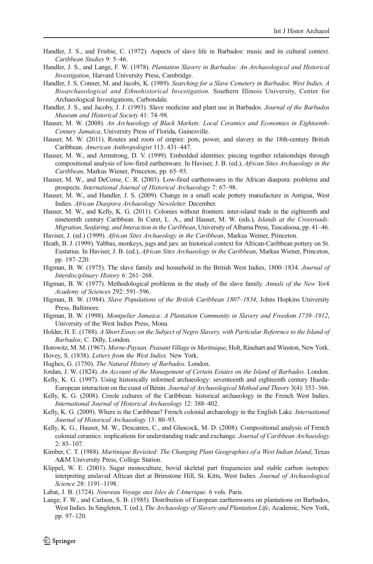- <span id="page-23-0"></span>Handler, J. S., and Frisbie, C. (1972). Aspects of slave life in Barbados: music and its cultural context. Caribbean Studies 9: 5–46.
- Handler, J. S., and Lange, F. W. (1978). Plantation Slavery in Barbados: An Archaeological and Historical Investigation, Harvard University Press, Cambridge.
- Handler, J. S, Conner, M. and Jacobi, K. (1989). Searching for a Slave Cemetery in Barbados, West Indies. A Bioarchaeological and Ethnohistorical Investigation. Southern Illinois University, Center for Archaeological Investigations, Carbondale.
- Handler, J. S., and Jacoby, J. J. (1993). Slave medicine and plant use in Barbados. Journal of the Barbados Museum and Historical Society 41: 74–98.
- Hauser, M. W. (2008). An Archaeology of Black Markets: Local Ceramics and Economies in Eighteenth-Century Jamaica, University Press of Florida, Gainesville.
- Hauser, M. W. (2011). Routes and roots of empire: pots, power, and slavery in the 18th-century British Caribbean. American Anthropologist 113: 431–447.
- Hauser, M. W., and Armstrong, D. V. (1999). Embedded identities: piecing together relationships through compositional analysis of low-fired earthenware. In Haviser, J. B. (ed.), African Sites Archaeology in the Caribbean, Markus Wiener, Princeton, pp. 65–93.
- Hauser, M. W., and DeCorse, C. R. (2003). Low-fired earthenwares in the African diaspora: problems and prospects. International Journal of Historical Archaeology 7: 67–98.
- Hauser, M. W., and Handler, J. S. (2009). Change in a small scale pottery manufacture in Antigua, West Indies. African Diaspora Archaeology Newsletter. December.
- Hauser, M. W., and Kelly, K. G. (2011). Colonies without frontiers: inter-island trade in the eighteenth and nineteenth century Caribbean. In Curet, L. A., and Hauser, M. W. (eds.), Islands at the Crossroads: Migration, Seafaring, and Interaction in the Caribbean, University of Albama Press, Tuscaloosa, pp. 41–46.
- Haviser, J. (ed.) (1999). African Sites Archaeology in the Caribbean, Markus Weiner, Princeton.
- Heath, B. J. (1999). Yabbas, monkeys, jugs and jars: an historical context for African-Caribbean pottery on St. Eustatius. In Haviser, J. B. (ed.), African Sites Archaeology in the Caribbean, Markus Wiener, Princeton, pp. 197–220.
- Higman, B. W. (1975). The slave family and household in the British West Indies, 1800–1834. Journal of Interdisciplinary History 6: 261–268.
- Higman, B. W. (1977). Methodological problems in the study of the slave family. Annals of the New York Academy of Sciences 292: 591–596.
- Higman, B. W. (1984). Slave Populations of the British Caribbean 1807–1834, Johns Hopkins University Press, Baltimore.
- Higman, B. W. (1998). Montpelier Jamaica: A Plantation Community in Slavery and Freedom 1739–1912, University of the West Indies Press, Mona.
- Holder, H. E. (1788). A Short Essay on the Subject of Negro Slavery, with Particular Reference to the Island of Barbados, C. Dilly, London.
- Horowitz, M. M. (1967). Morne-Paysan: Peasant Village in Martinique, Holt, Rinehart and Winston, New York. Hovey, S. (1838). Letters from the West Indies. New York.
- Hughes, G. (1750). The Natural History of Barbados. London.
- Jordan, J. W. (1824). An Account of the Management of Certain Estates on the Island of Barbados. London.
- Kelly, K. G. (1997). Using historically informed archaeology: seventeenth and eighteenth century Hueda-European interaction on the coast of Bénin. Journal of Archaeological Method and Theory 3(4): 353–366.
- Kelly, K. G. (2008). Creole cultures of the Caribbean: historical archaeology in the French West Indies. International Journal of Historical Archaeology 12: 388–402.
- Kelly, K. G. (2009). Where is the Caribbean? French colonial archaeology in the English Lake. *International* Journal of Historical Archaeology 13: 80–93.
- Kelly, K. G., Hauser, M. W., Descantes, C., and Glascock, M. D. (2008). Compositional analysis of French colonial ceramics: implications for understanding trade and exchange. Journal of Caribbean Archaeology 2: 85–107.
- Kimber, C. T. (1988). Martinique Revisited: The Changing Plant Geographies of a West Indian Island, Texas A&M University Press, College Station.
- Klippel, W. E. (2001). Sugar monoculture, bovid skeletal part frequencies and stable carbon isotopes: interpreting enslaved African diet at Brimstone Hill, St. Kitts, West Indies. Journal of Archaeological Science 28: 1191–1198.
- Labat, J. B. (1724). Nouveau Voyage aux Isles de l'Amerique. 6 vols. Paris.
- Lange, F. W., and Carlson, S. B. (1985). Distribution of European earthenwares on plantations on Barbados, West Indies. In Singleton, T. (ed.), The Archaeology of Slavery and Plantation Life, Academic, New York, pp. 97–120.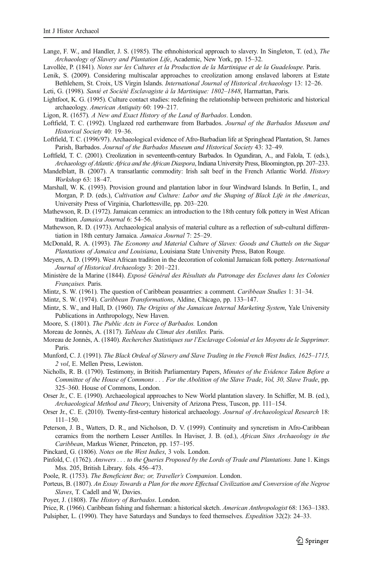<span id="page-24-0"></span>Lange, F. W., and Handler, J. S. (1985). The ethnohistorical approach to slavery. In Singleton, T. (ed.), The Archaeology of Slavery and Plantation Life, Academic, New York, pp. 15–32.

Lavollée, P. (1841). Notes sur les Cultures et la Production de la Martinique et de la Guadeloupe. Paris.

Lenik, S. (2009). Considering multiscalar approaches to creolization among enslaved laborers at Estate Bethlehem, St. Croix, US Virgin Islands. International Journal of Historical Archaeology 13: 12–26.

Leti, G. (1998). Santé et Société Esclavagiste à la Martinique: 1802–1848, Harmattan, Paris.

- Lightfoot, K. G. (1995). Culture contact studies: redefining the relationship between prehistoric and historical archaeology. American Antiquity 60: 199–217.
- Ligon, R. (1657). A New and Exact History of the Land of Barbados. London.
- Loftfield, T. C. (1992). Unglazed red earthenware from Barbados. Journal of the Barbados Museum and Historical Society 40: 19–36.
- Loftfield, T. C. (1996/97). Archaeological evidence of Afro-Barbadian life at Springhead Plantation, St. James Parish, Barbados. Journal of the Barbados Museum and Historical Society 43: 32–49.
- Loftfield, T. C. (2001). Creolization in seventeenth-century Barbados. In Ogundiran, A., and Falola, T. (eds.), Archaeology of Atlantic Africa and the African Diaspora, Indiana University Press, Bloomington, pp. 207–233.
- Mandelblatt, B. (2007). A transatlantic commodity: Irish salt beef in the French Atlantic World. History Workshop 63: 18–47.
- Marshall, W. K. (1993). Provision ground and plantation labor in four Windward Islands. In Berlin, I., and Morgan, P. D. (eds.), Cultivation and Culture: Labor and the Shaping of Black Life in the Americas, University Press of Virginia, Charlottesville, pp. 203–220.
- Mathewson, R. D. (1972). Jamaican ceramics: an introduction to the 18th century folk pottery in West African tradition. Jamaica Journal 6: 54–56.
- Mathewson, R. D. (1973). Archaeological analysis of material culture as a reflection of sub-cultural differentiation in 18th century Jamaica. Jamaica Journal 7: 25–29.
- McDonald, R. A. (1993). The Economy and Material Culture of Slaves: Goods and Chattels on the Sugar Plantations of Jamaica and Louisiana, Louisiana State University Press, Baton Rouge.
- Meyers, A. D. (1999). West African tradition in the decoration of colonial Jamaican folk pottery. International Journal of Historical Archaeology 3: 201–221.
- Ministère de la Marine (1844). Exposé Général des Résultats du Patronage des Esclaves dans les Colonies Françaises. Paris.
- Mintz, S. W. (1961). The question of Caribbean peasantries: a comment. Caribbean Studies 1: 31–34.
- Mintz, S. W. (1974). Caribbean Transformations, Aldine, Chicago, pp. 133–147.
- Mintz, S. W., and Hall, D. (1960). The Origins of the Jamaican Internal Marketing System, Yale University Publications in Anthropology, New Haven.
- Moore, S. (1801). The Public Acts in Force of Barbados. London
- Moreau de Jonnès, A. (1817). Tableau du Climat des Antilles. Paris.
- Moreau de Jonnès, A. (1840). Recherches Statistiques sur l'Esclavage Colonial et les Moyens de le Supprimer. Paris.
- Munford, C. J. (1991). The Black Ordeal of Slavery and Slave Trading in the French West Indies, 1625–1715, 2 vol, E. Mellen Press, Lewiston.
- Nicholls, R. B. (1790). Testimony, in British Parliamentary Papers, Minutes of the Evidence Taken Before a Committee of the House of Commons . . . For the Abolition of the Slave Trade, Vol, 30, Slave Trade, pp. 325–360. House of Commons, London.
- Orser Jr., C. E. (1990). Archaeological approaches to New World plantation slavery. In Schiffer, M. B. (ed.), Archaeological Method and Theory, University of Arizona Press, Tuscon, pp. 111–154.
- Orser Jr., C. E. (2010). Twenty-first-century historical archaeology. Journal of Archaeological Research 18: 111–150.
- Peterson, J. B., Watters, D. R., and Nicholson, D. V. (1999). Continuity and syncretism in Afro-Caribbean ceramics from the northern Lesser Antilles. In Haviser, J. B. (ed.), African Sites Archaeology in the Caribbean, Markus Wiener, Princeton, pp. 157–195.
- Pinckard, G. (1806). Notes on the West Indies, 3 vols. London.
- Pinfold, C. (1762). Answers . . . to the Queries Proposed by the Lords of Trade and Plantations. June 1. Kings Mss. 205, British Library. fols. 456–473.
- Poole, R. (1753). The Beneficient Bee; or, Traveller's Companion. London.
- Porteus, B. (1807). An Essay Towards a Plan for the more Effectual Civilization and Conversion of the Negroe Slaves, T. Cadell and W, Davies.
- Poyer, J. (1808). The History of Barbados. London.

Price, R. (1966). Caribbean fishing and fisherman: a historical sketch. American Anthropologist 68: 1363–1383. Pulsipher, L. (1990). They have Saturdays and Sundays to feed themselves. Expedition 32(2): 24–33.